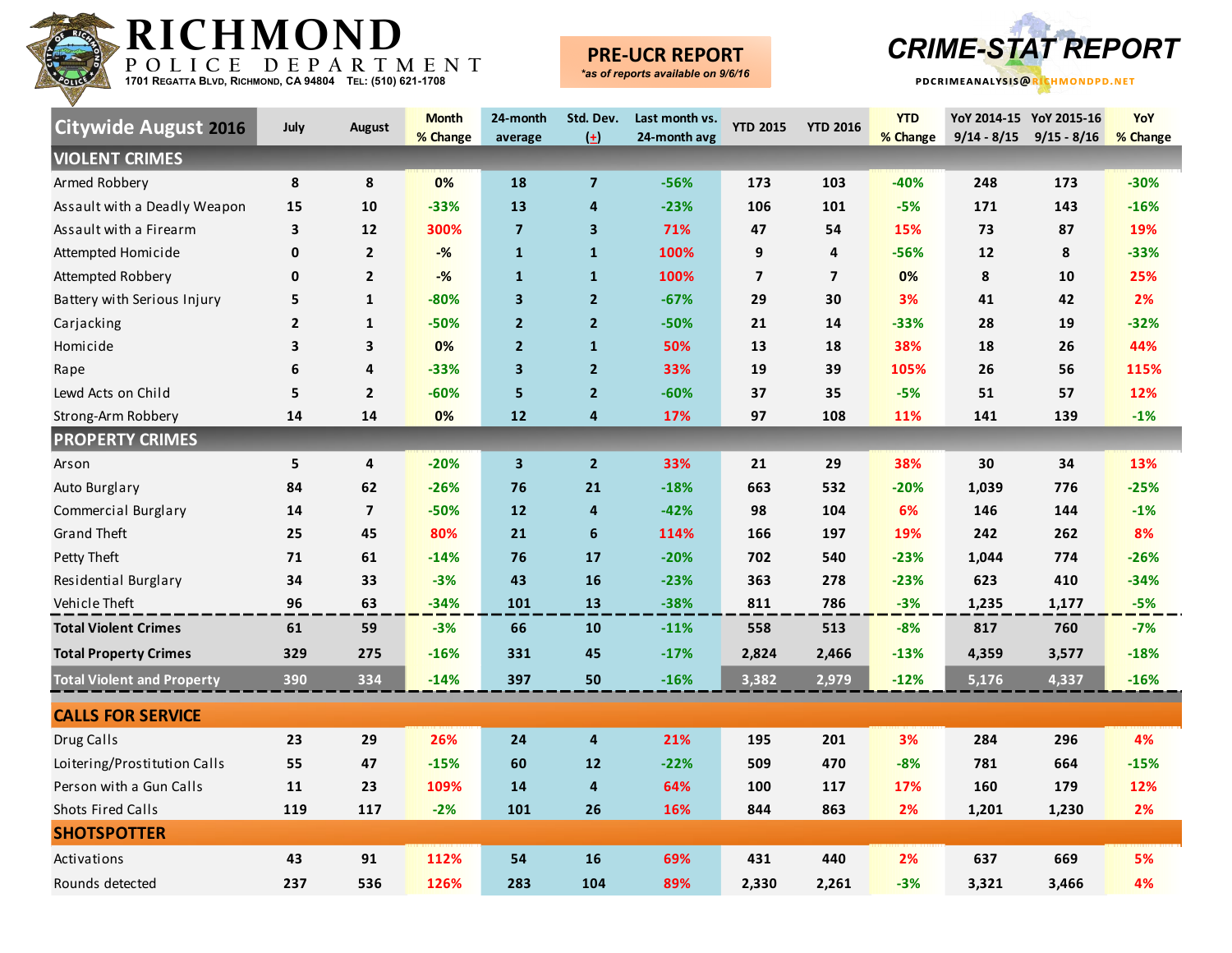

# **PRE-UCR REPORT**



| <b>Citywide August 2016</b>       | <b>July</b>    | August                  | <b>Month</b><br>% Change | 24-month<br>average     | Std. Dev.<br>$\left( \pm \right)$ | Last month vs.<br>24-month avg | <b>YTD 2015</b>         | <b>YTD 2016</b> | <b>YTD</b><br>% Change | $9/14 - 8/15$      | YoY 2014-15 YoY 2015-16<br>$9/15 - 8/16$ | YoY<br>% Change |
|-----------------------------------|----------------|-------------------------|--------------------------|-------------------------|-----------------------------------|--------------------------------|-------------------------|-----------------|------------------------|--------------------|------------------------------------------|-----------------|
| <b>VIOLENT CRIMES</b>             |                |                         |                          |                         |                                   |                                |                         |                 |                        |                    |                                          |                 |
| Armed Robbery                     | 8              | 8                       | 0%                       | 18                      | $\overline{\mathbf{z}}$           | $-56%$                         | 173                     | 103             | $-40%$                 | 248                | 173                                      | $-30%$          |
| Assault with a Deadly Weapon      | 15             | 10                      | $-33%$                   | 13                      | 4                                 | $-23%$                         | 106                     | 101             | $-5%$                  | 171                | 143                                      | $-16%$          |
| Assault with a Firearm            | 3              | 12                      | 300%                     | $\overline{7}$          | 3                                 | 71%                            | 47                      | 54              | 15%                    | 73                 | 87                                       | 19%             |
| Attempted Homicide                | 0              | $\overline{2}$          | $-%$                     | $\mathbf{1}$            | $\mathbf{1}$                      | 100%                           | 9                       | 4               | $-56%$                 | 12                 | 8                                        | $-33%$          |
| Attempted Robbery                 | 0              | $\mathbf 2$             | $-%$                     | $\mathbf{1}$            | $\mathbf{1}$                      | 100%                           | $\overline{\mathbf{z}}$ | $\overline{7}$  | 0%                     | 8                  | 10                                       | 25%             |
| Battery with Serious Injury       | 5              | $\mathbf{1}$            | $-80%$                   | 3                       | $\overline{2}$                    | $-67%$                         | 29                      | 30              | 3%                     | 41                 | 42                                       | 2%              |
| Carjacking                        | $\overline{2}$ | $\mathbf{1}$            | $-50%$                   | 2 <sup>1</sup>          | $\mathbf{2}$                      | $-50%$                         | 21                      | 14              | $-33%$                 | 28                 | 19                                       | $-32%$          |
| Homicide                          | 3              | 3                       | 0%                       | $\overline{2}$          | $\mathbf{1}$                      | 50%                            | 13                      | 18              | 38%                    | 18                 | 26                                       | 44%             |
| Rape                              | 6              | $\overline{\mathbf{4}}$ | $-33%$                   | $\overline{\mathbf{3}}$ | $\mathbf{2}$                      | 33%                            | 19                      | 39              | 105%                   | 26                 | 56                                       | 115%            |
| Lewd Acts on Child                | 5              | $\mathbf{2}$            | $-60%$                   | 5                       | $\overline{\mathbf{2}}$           | $-60%$                         | 37                      | 35              | $-5%$                  | 51                 | 57                                       | 12%             |
| Strong-Arm Robbery                | 14             | 14                      | 0%                       | 12                      | 4                                 | 17%                            | 97                      | 108             | 11%                    | 141                | 139                                      | $-1%$           |
| <b>PROPERTY CRIMES</b>            |                |                         |                          |                         |                                   |                                |                         |                 |                        |                    |                                          |                 |
| Arson                             | 5              | $\pmb{4}$               | $-20%$                   | $\overline{\mathbf{3}}$ | $\overline{2}$                    | 33%                            | 21                      | 29              | 38%                    | 30                 | 34                                       | 13%             |
| Auto Burglary                     | 84             | 62                      | $-26%$                   | 76                      | 21                                | $-18%$                         | 663                     | 532             | $-20%$                 | 1,039              | 776                                      | $-25%$          |
| Commercial Burglary               | 14             | $\overline{\mathbf{z}}$ | $-50%$                   | 12                      | 4                                 | $-42%$                         | 98                      | 104             | 6%                     | 146                | 144                                      | $-1%$           |
| <b>Grand Theft</b>                | 25             | 45                      | 80%                      | 21                      | $\boldsymbol{6}$                  | 114%                           | 166                     | 197             | 19%                    | 242                | 262                                      | 8%              |
| Petty Theft                       | 71             | 61                      | $-14%$                   | 76                      | 17                                | $-20%$                         | 702                     | 540             | $-23%$                 | 1,044              | 774                                      | $-26%$          |
| Residential Burglary              | 34             | 33                      | $-3%$                    | 43                      | 16                                | $-23%$                         | 363                     | 278             | $-23%$                 | 623                | 410                                      | $-34%$          |
| Vehicle Theft                     | 96             | 63                      | $-34%$                   | 101                     | 13                                | $-38%$                         | 811                     | 786             | $-3%$                  | 1,235              | 1,177                                    | $-5%$           |
| <b>Total Violent Crimes</b>       | 61             | 59                      | $-3%$                    | 66                      | 10                                | $-11%$                         | 558                     | 513             | $-8%$                  | 817                | 760                                      | $-7%$           |
| <b>Total Property Crimes</b>      | 329            | 275                     | $-16%$                   | 331                     | 45                                | $-17%$                         | 2,824                   | 2,466           | $-13%$                 | 4,359              | 3,577                                    | $-18%$          |
| <b>Total Violent and Property</b> | 390            | 334                     | $-14%$                   | 397                     | 50                                | $-16%$                         | 3,382                   | 2,979           | $-12%$                 | $\overline{5,176}$ | 4,337                                    | $-16%$          |
| <b>CALLS FOR SERVICE</b>          |                |                         |                          |                         |                                   |                                |                         |                 |                        |                    |                                          |                 |
| Drug Calls                        | 23             | 29                      | 26%                      | 24                      | 4                                 | 21%                            | 195                     | 201             | 3%                     | 284                | 296                                      | 4%              |
| Loitering/Prostitution Calls      | 55             | 47                      | $-15%$                   | 60                      | 12                                | $-22%$                         | 509                     | 470             | $-8%$                  | 781                | 664                                      | $-15%$          |
| Person with a Gun Calls           | 11             | 23                      | 109%                     | 14                      | 4                                 | 64%                            | 100                     | 117             | 17%                    | 160                | 179                                      | 12%             |
| <b>Shots Fired Calls</b>          | 119            | 117                     | $-2%$                    | 101                     | 26                                | 16%                            | 844                     | 863             | 2%                     | 1,201              | 1,230                                    | 2%              |
| <b>SHOTSPOTTER</b>                |                |                         |                          |                         |                                   |                                |                         |                 |                        |                    |                                          |                 |
| Activations                       | 43             | 91                      | 112%                     | 54                      | 16                                | 69%                            | 431                     | 440             | 2%                     | 637                | 669                                      | 5%              |
| Rounds detected                   | 237            | 536                     | 126%                     | 283                     | 104                               | 89%                            | 2,330                   | 2,261           | $-3%$                  | 3,321              | 3,466                                    | 4%              |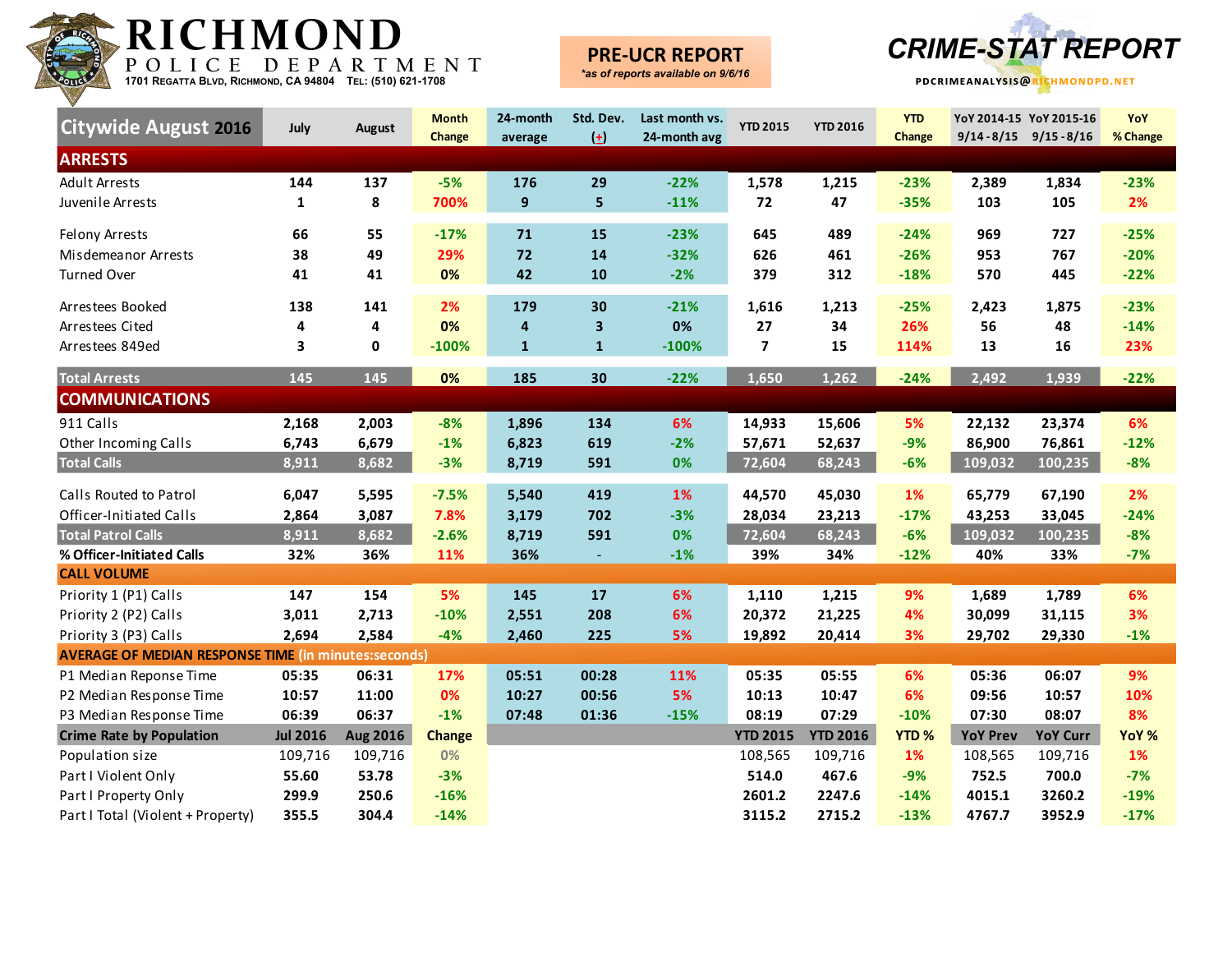

## **PRE-UCR REPORT**



| <b>Citywide August 2016</b>                                 | July            | <b>August</b>   | <b>Month</b><br>Change | 24-month<br>average | Std. Dev.<br>$\left( \pm \right)$ | Last month vs.<br>24-month avg | <b>YTD 2015</b> | <b>YTD 2016</b> | <b>YTD</b><br>Change |                 | YoY 2014-15 YoY 2015-16<br>$9/14 - 8/15$ $9/15 - 8/16$ | YoY<br>% Change |
|-------------------------------------------------------------|-----------------|-----------------|------------------------|---------------------|-----------------------------------|--------------------------------|-----------------|-----------------|----------------------|-----------------|--------------------------------------------------------|-----------------|
| <b>ARRESTS</b>                                              |                 |                 |                        |                     |                                   |                                |                 |                 |                      |                 |                                                        |                 |
| <b>Adult Arrests</b>                                        | 144             | 137             | $-5%$                  | 176                 | 29                                | $-22%$                         | 1,578           | 1,215           | $-23%$               | 2,389           | 1,834                                                  | $-23%$          |
| Juvenile Arrests                                            | 1               | 8               | 700%                   | 9                   | $\overline{\mathbf{5}}$           | $-11%$                         | 72              | 47              | $-35%$               | 103             | 105                                                    | 2%              |
| <b>Felony Arrests</b>                                       | 66              | 55              | $-17%$                 | 71                  | 15                                | $-23%$                         | 645             | 489             | $-24%$               | 969             | 727                                                    | $-25%$          |
| Misdemeanor Arrests                                         | 38              | 49              | 29%                    | 72                  | 14                                | $-32%$                         | 626             | 461             | $-26%$               | 953             | 767                                                    | $-20%$          |
| <b>Turned Over</b>                                          | 41              | 41              | 0%                     | 42                  | 10                                | $-2%$                          | 379             | 312             | $-18%$               | 570             | 445                                                    | $-22%$          |
| Arrestees Booked                                            | 138             | 141             | 2%                     | 179                 | 30                                | $-21%$                         | 1,616           | 1,213           | $-25%$               | 2,423           | 1,875                                                  | $-23%$          |
| Arrestees Cited                                             | 4               | 4               | 0%                     | 4                   | $\overline{\mathbf{3}}$           | 0%                             | 27              | 34              | 26%                  | 56              | 48                                                     | $-14%$          |
| Arrestees 849ed                                             | 3               | 0               | $-100%$                | $\mathbf{1}$        | $\mathbf{1}$                      | $-100%$                        | $\overline{7}$  | 15              | 114%                 | 13              | 16                                                     | 23%             |
| <b>Total Arrests</b>                                        | 145             | 145             | 0%                     | 185                 | 30                                | $-22%$                         | 1,650           | 1,262           | $-24%$               | 2,492           | 1,939                                                  | $-22%$          |
| <b>COMMUNICATIONS</b>                                       |                 |                 |                        |                     |                                   |                                |                 |                 |                      |                 |                                                        |                 |
| 911 Calls                                                   | 2,168           | 2,003           | $-8%$                  | 1,896               | 134                               | 6%                             | 14,933          | 15,606          | 5%                   | 22,132          | 23,374                                                 | 6%              |
| Other Incoming Calls                                        | 6,743           | 6,679           | $-1%$                  | 6,823               | 619                               | $-2%$                          | 57,671          | 52,637          | $-9%$                | 86,900          | 76,861                                                 | $-12%$          |
| <b>Total Calls</b>                                          | 8,911           | 8,682           | $-3%$                  | 8,719               | 591                               | 0%                             | 72,604          | 68,243          | $-6%$                | 109,032         | 100,235                                                | $-8%$           |
| Calls Routed to Patrol                                      | 6,047           | 5,595           | $-7.5%$                | 5,540               | 419                               | 1%                             | 44,570          | 45,030          | 1%                   | 65,779          | 67,190                                                 | 2%              |
| <b>Officer-Initiated Calls</b>                              | 2,864           | 3,087           | 7.8%                   | 3,179               | 702                               | $-3%$                          | 28,034          | 23,213          | $-17%$               | 43,253          | 33,045                                                 | $-24%$          |
| <b>Total Patrol Calls</b>                                   | 8,911           | 8,682           | $-2.6%$                | 8,719               | 591                               | 0%                             | 72,604          | 68,243          | $-6%$                | 109,032         | 100,235                                                | $-8%$           |
| % Officer-Initiated Calls                                   | 32%             | 36%             | 11%                    | 36%                 | $\blacksquare$                    | $-1%$                          | 39%             | 34%             | $-12%$               | 40%             | 33%                                                    | $-7%$           |
| <b>CALL VOLUME</b>                                          |                 |                 |                        |                     |                                   |                                |                 |                 |                      |                 |                                                        |                 |
| Priority 1 (P1) Calls                                       | 147             | 154             | 5%                     | 145                 | 17                                | 6%                             | 1,110           | 1,215           | 9%                   | 1,689           | 1,789                                                  | 6%              |
| Priority 2 (P2) Calls                                       | 3,011           | 2,713           | $-10%$                 | 2,551               | 208                               | 6%                             | 20,372          | 21,225          | 4%                   | 30,099          | 31,115                                                 | 3%              |
| Priority 3 (P3) Calls                                       | 2,694           | 2,584           | $-4%$                  | 2,460               | 225                               | 5%                             | 19,892          | 20,414          | 3%                   | 29,702          | 29,330                                                 | $-1%$           |
| <b>AVERAGE OF MEDIAN RESPONSE TIME (in minutes:seconds)</b> |                 |                 |                        |                     |                                   |                                |                 |                 |                      |                 |                                                        |                 |
| P1 Median Reponse Time                                      | 05:35           | 06:31           | 17%                    | 05:51               | 00:28                             | 11%                            | 05:35           | 05:55           | 6%                   | 05:36           | 06:07                                                  | 9%              |
| P2 Median Response Time                                     | 10:57           | 11:00           | 0%                     | 10:27               | 00:56                             | 5%                             | 10:13           | 10:47           | 6%                   | 09:56           | 10:57                                                  | 10%             |
| P3 Median Response Time                                     | 06:39           | 06:37           | $-1%$                  | 07:48               | 01:36                             | $-15%$                         | 08:19           | 07:29           | $-10%$               | 07:30           | 08:07                                                  | 8%              |
| <b>Crime Rate by Population</b>                             | <b>Jul 2016</b> | <b>Aug 2016</b> | <b>Change</b>          |                     |                                   |                                | <b>YTD 2015</b> | <b>YTD 2016</b> | <b>YTD%</b>          | <b>YoY Prev</b> | <b>YoY Curr</b>                                        | YoY %           |
| Population size                                             | 109,716         | 109,716         | 0%                     |                     |                                   |                                | 108,565         | 109,716         | 1%                   | 108,565         | 109,716                                                | 1%              |
| Part I Violent Only                                         | 55.60           | 53.78           | $-3%$                  |                     |                                   |                                | 514.0           | 467.6           | $-9%$                | 752.5           | 700.0                                                  | $-7%$           |
| Part I Property Only                                        | 299.9           | 250.6           | $-16%$                 |                     |                                   |                                | 2601.2          | 2247.6          | $-14%$               | 4015.1          | 3260.2                                                 | $-19%$          |
| Part I Total (Violent + Property)                           | 355.5           | 304.4           | $-14%$                 |                     |                                   |                                | 3115.2          | 2715.2          | $-13%$               | 4767.7          | 3952.9                                                 | $-17%$          |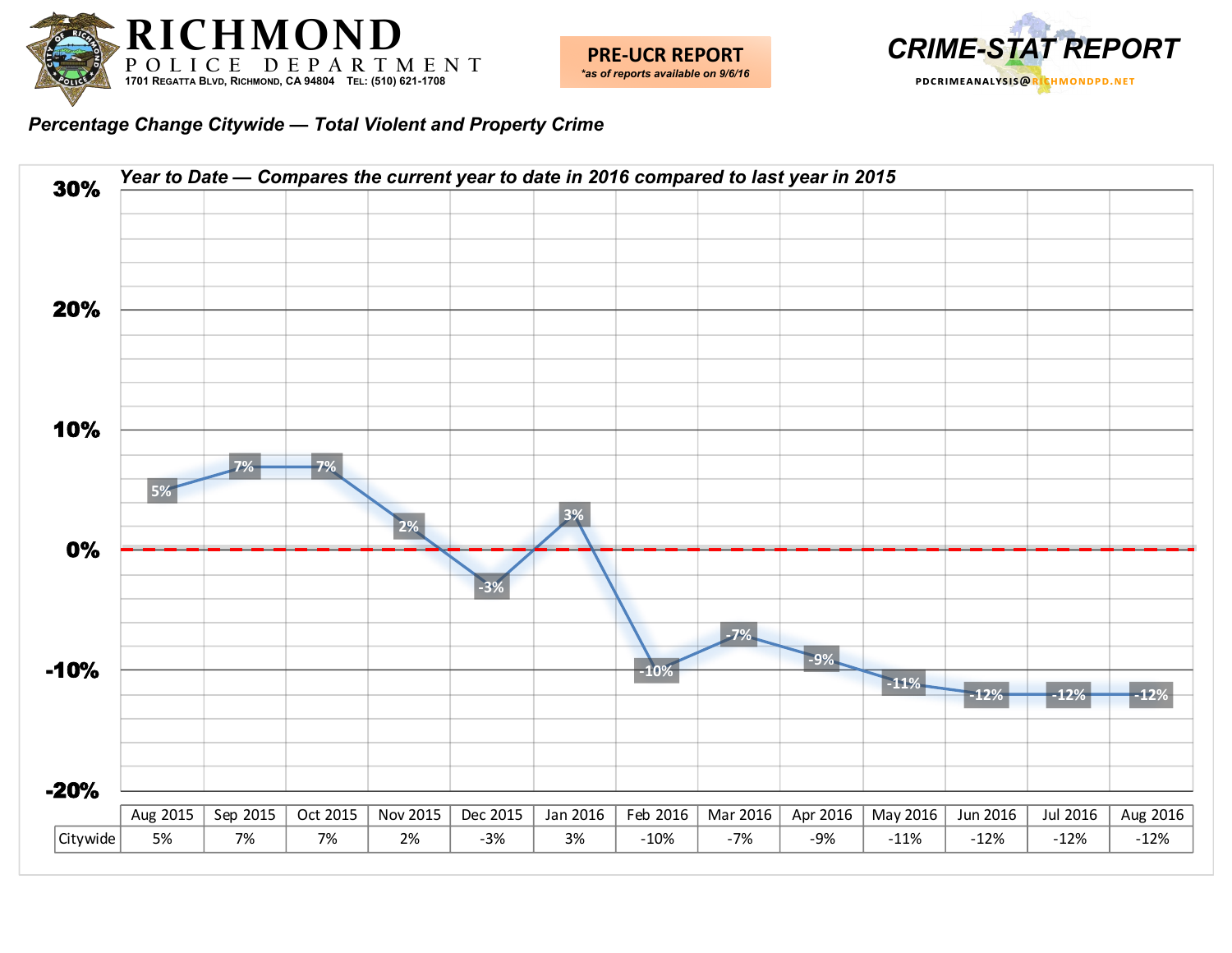





*Percentage Change Citywide — Total Violent and Property Crime*

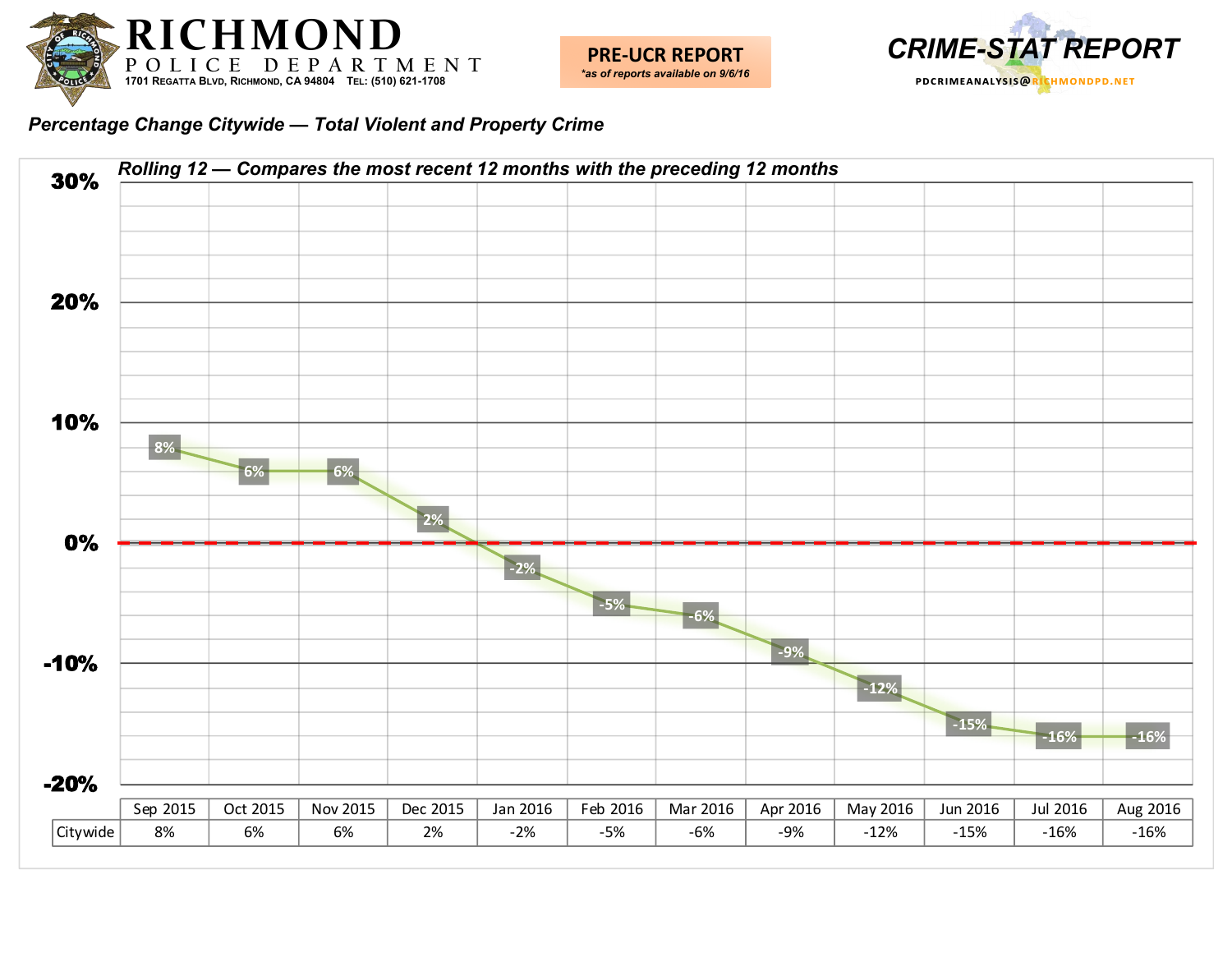



*Percentage Change Citywide — Total Violent and Property Crime*

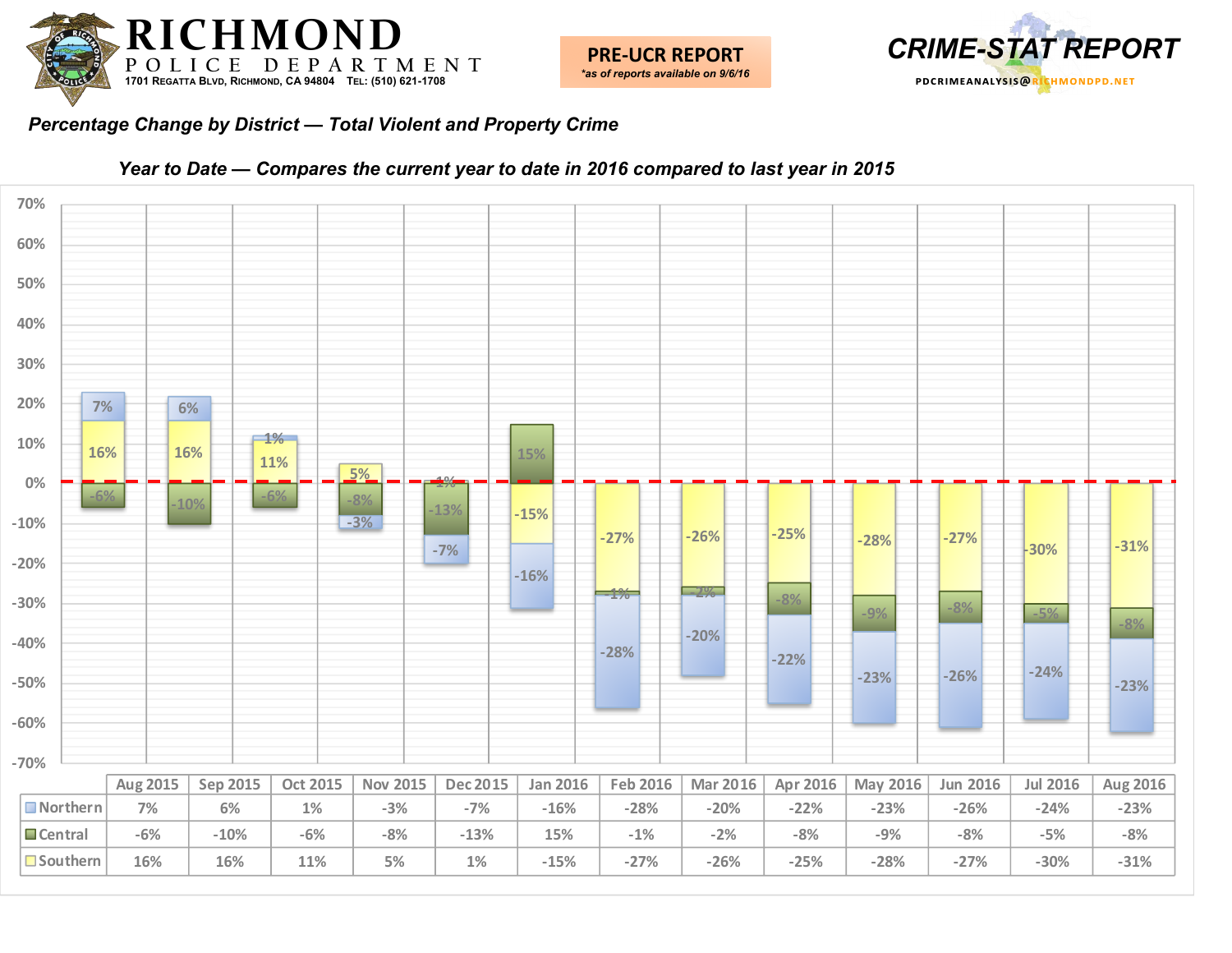



#### *Percentage Change by District — Total Violent and Property Crime*



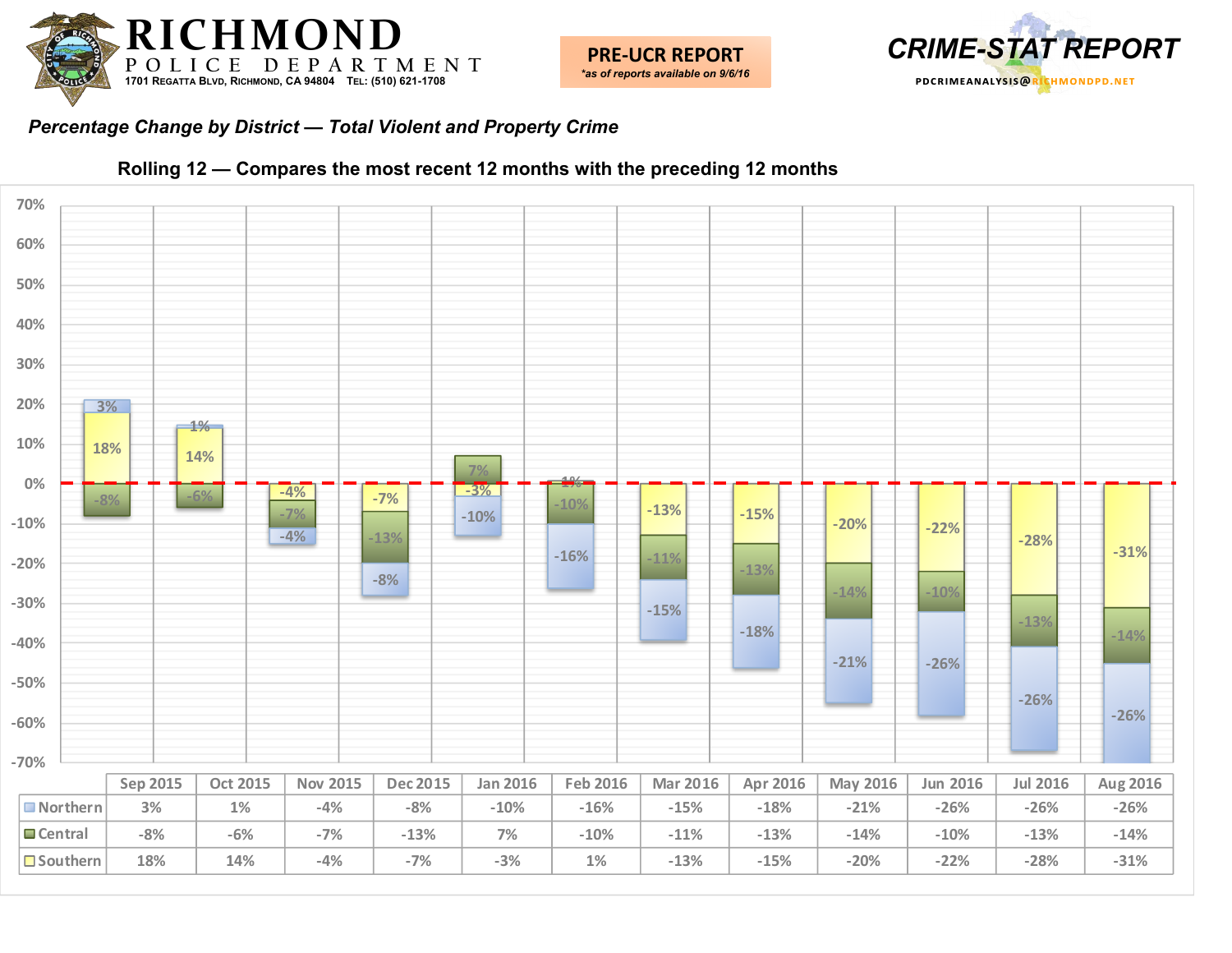



#### *Percentage Change by District — Total Violent and Property Crime*



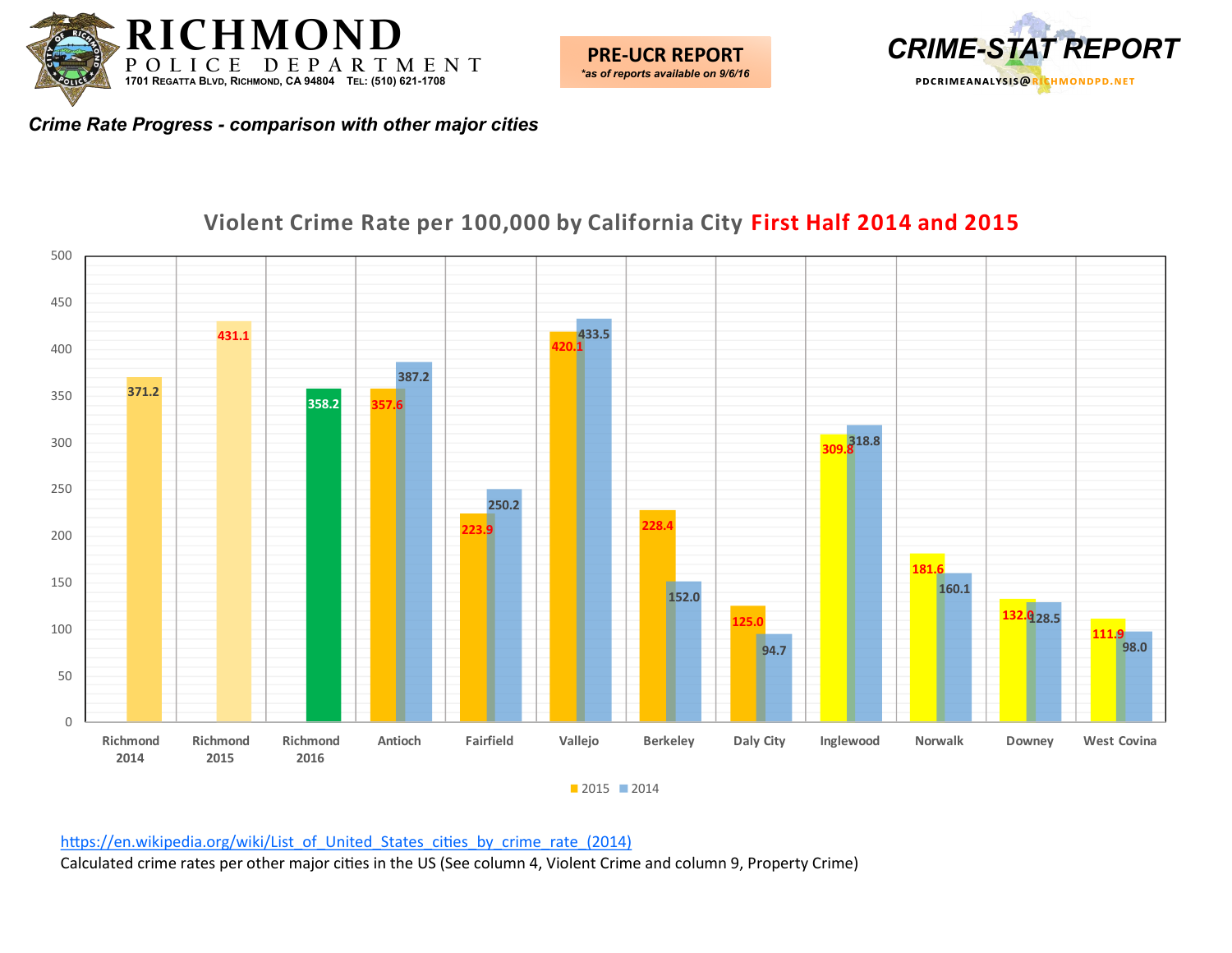





## **Violent Crime Rate per 100,000 by California City First Half 2014 and 2015**

 $2015$  2014

[https://en.wikipedia.org/wiki/List\\_of\\_United\\_States\\_cities\\_by\\_crime\\_rate\\_\(2014\)](https://en.wikipedia.org/wiki/List_of_United_States_cities_by_crime_rate_(2014))

Calculated crime rates per other major cities in the US (See column 4, Violent Crime and column 9, Property Crime)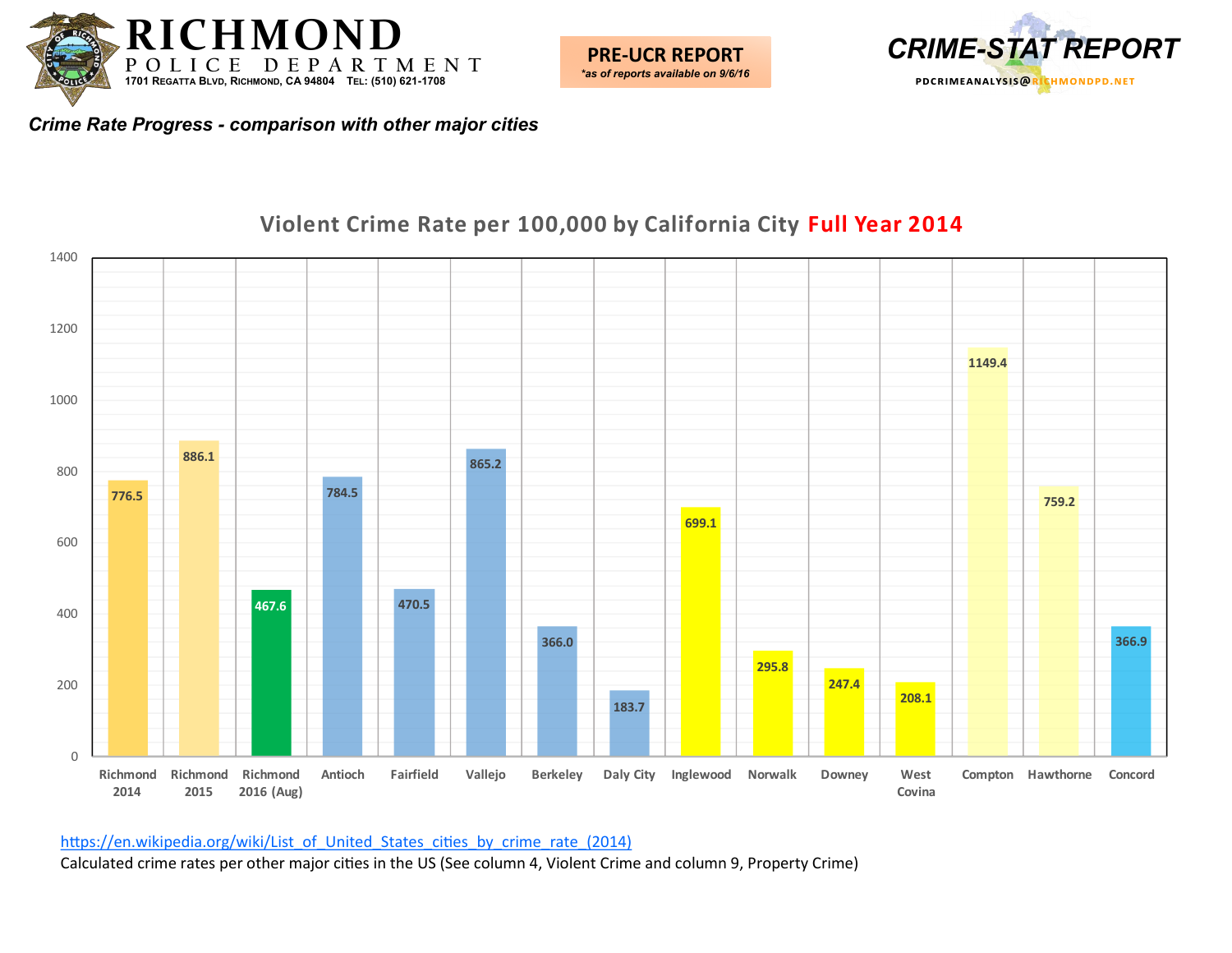



## **Violent Crime Rate per 100,000 by California City Full Year 2014**



[https://en.wikipedia.org/wiki/List\\_of\\_United\\_States\\_cities\\_by\\_crime\\_rate\\_\(2014\)](https://en.wikipedia.org/wiki/List_of_United_States_cities_by_crime_rate_(2014))

Calculated crime rates per other major cities in the US (See column 4, Violent Crime and column 9, Property Crime)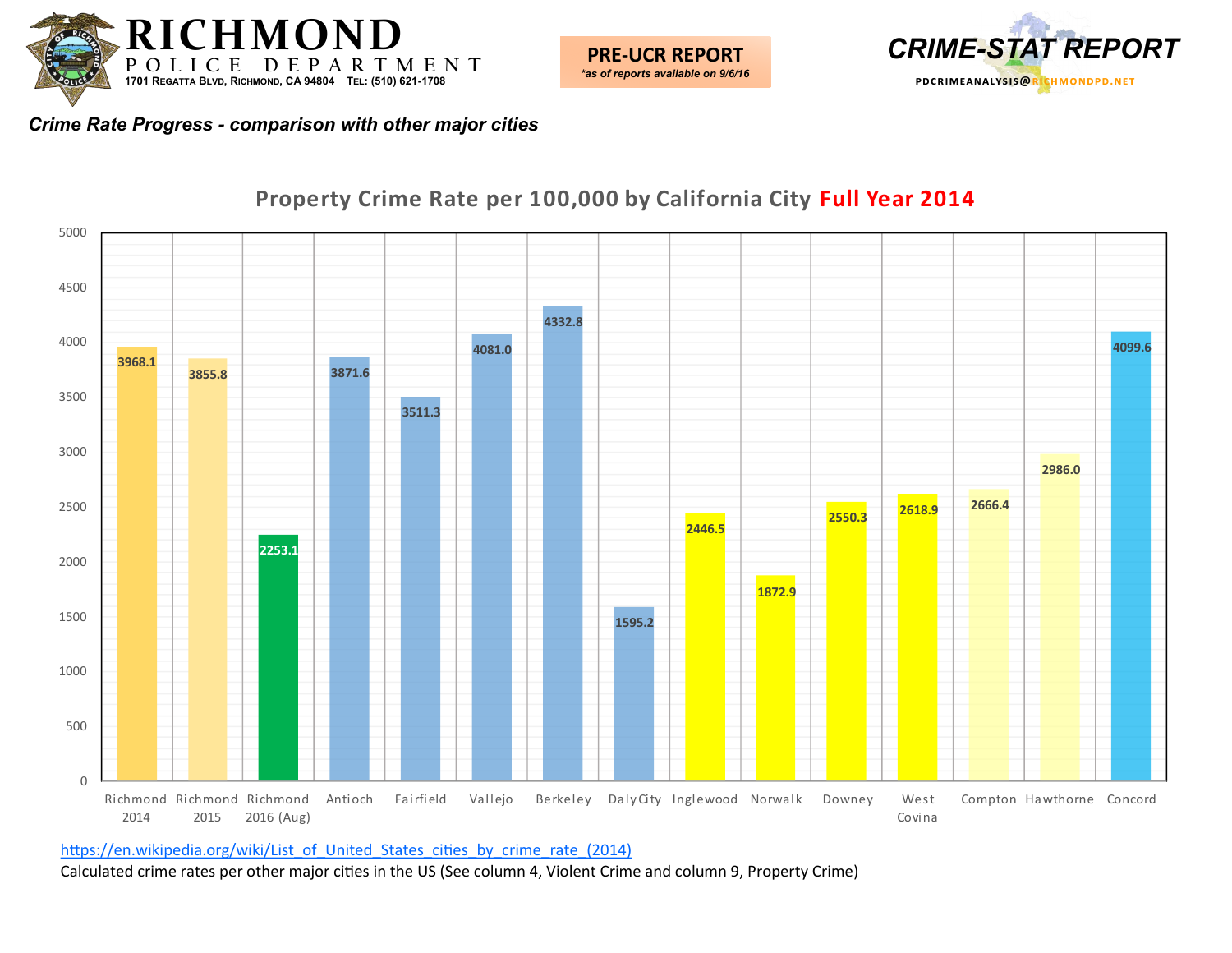





## **Property Crime Rate per 100,000 by California City Full Year 2014**

[https://en.wikipedia.org/wiki/List\\_of\\_United\\_States\\_cities\\_by\\_crime\\_rate\\_\(2014\)](https://en.wikipedia.org/wiki/List_of_United_States_cities_by_crime_rate_(2014))

Calculated crime rates per other major cities in the US (See column 4, Violent Crime and column 9, Property Crime)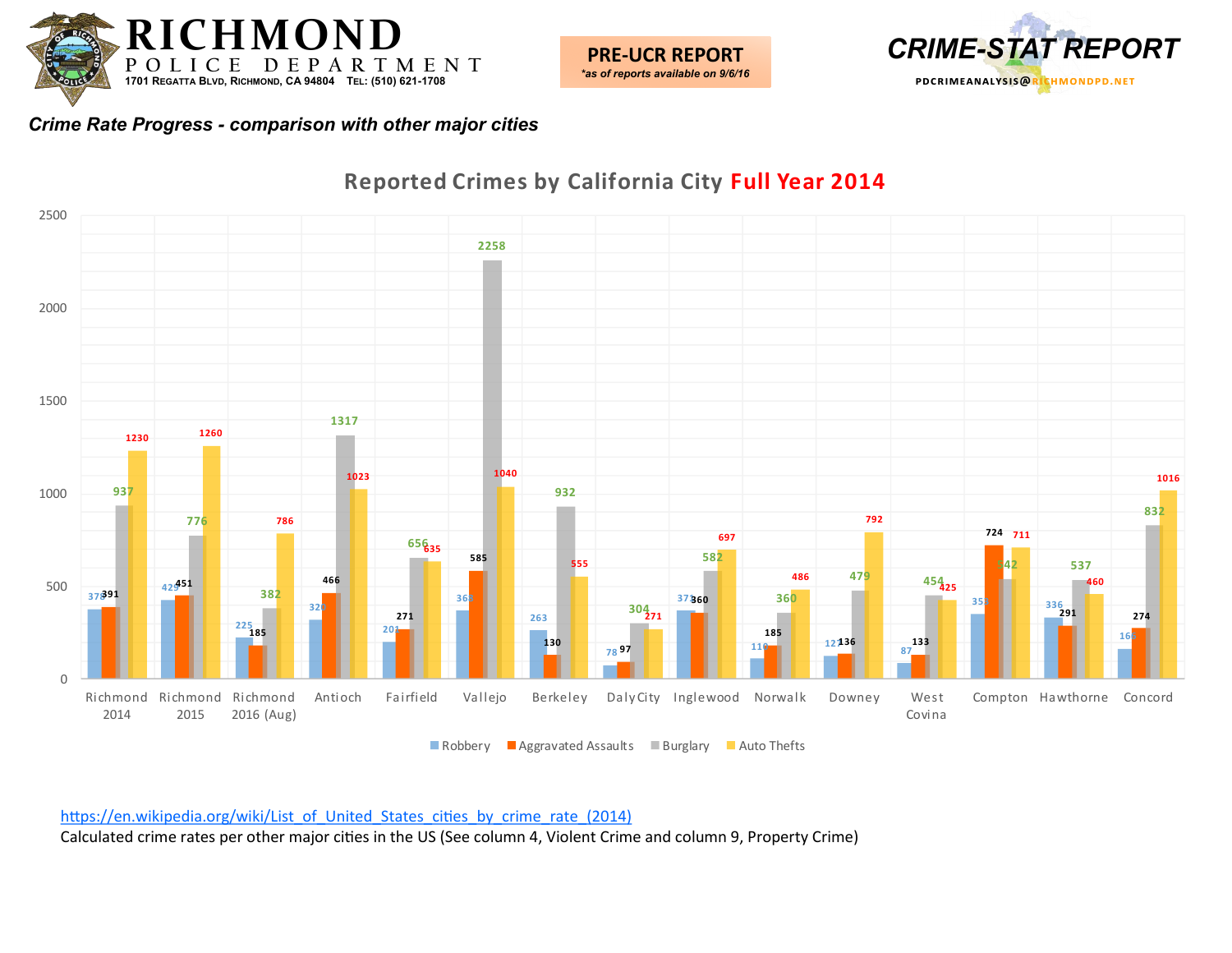



#### **391 451 185** 78 97 **360 12136 8 7 <sup>336</sup> <sup>291</sup> <sup>274</sup> 133 711 635 271 <sup>454</sup> 425 537 <sup>1260</sup>** Richmond Richmond Richmond 2016 (Aug) Antioch Fairfield Vallejo Berkeley Daly City Inglewood Norwalk Downey West Covina Compton Hawthorne Concord **Reported Crimes by California City Full Year 2014**

■ Robbery ■ Aggravated Assaults ■ Burglary ■ Auto Thefts

[https://en.wikipedia.org/wiki/List\\_of\\_United\\_States\\_cities\\_by\\_crime\\_rate\\_\(2014\)](https://en.wikipedia.org/wiki/List_of_United_States_cities_by_crime_rate_(2014)) Calculated crime rates per other major cities in the US (See column 4, Violent Crime and column 9, Property Crime)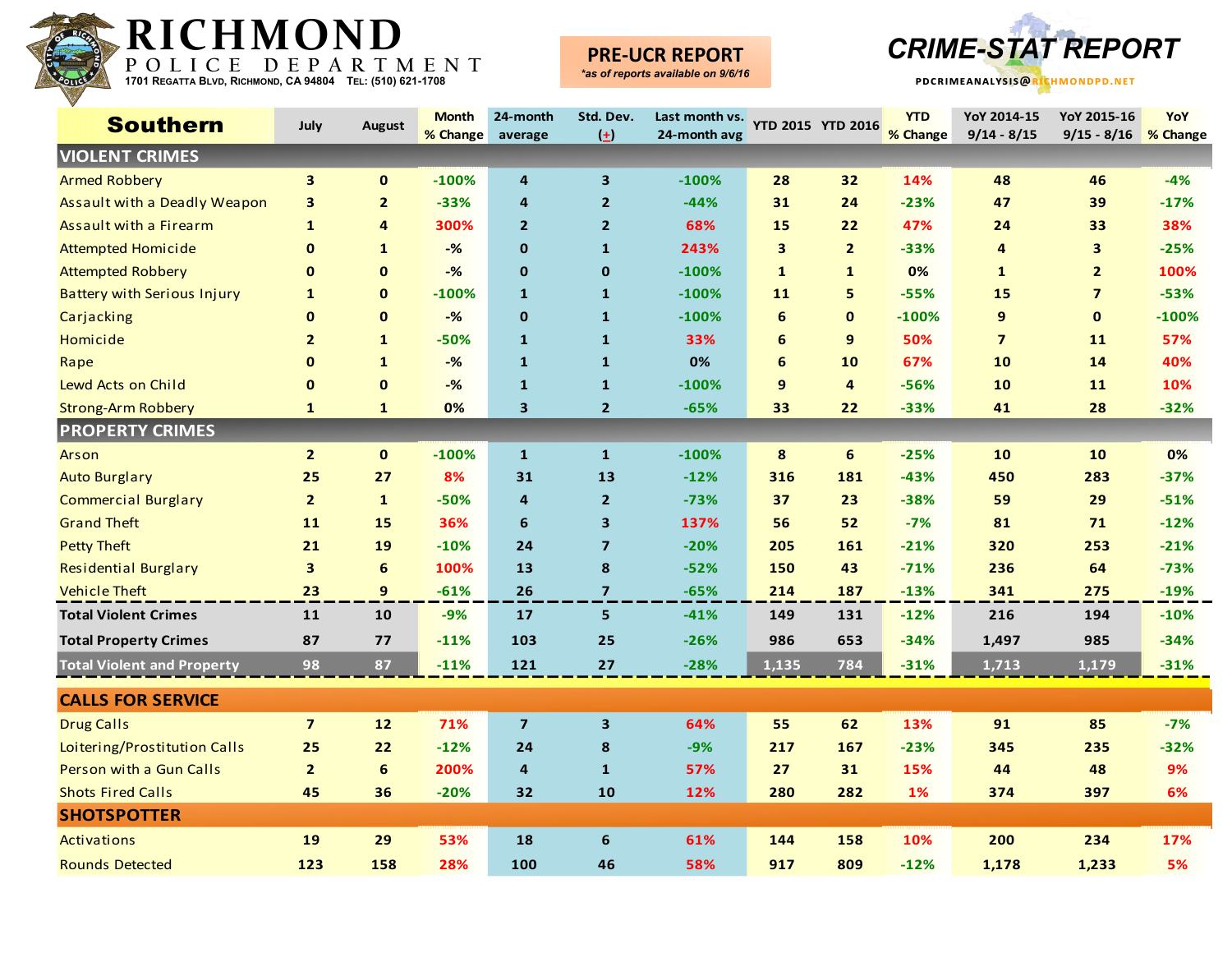

# **PRE-UCR REPORT**



| <b>Southern</b>                    | July                    | <b>August</b>   | <b>Month</b><br>% Change | 24-month<br>average     | Std. Dev.<br>$\left( \pm \right)$ | Last month vs. YTD 2015 YTD 2016<br>24-month avg |              |                | <b>YTD</b><br>% Change | YoY 2014-15<br>$9/14 - 8/15$ | YoY 2015-16<br>$9/15 - 8/16$ | YoY<br>% Change |
|------------------------------------|-------------------------|-----------------|--------------------------|-------------------------|-----------------------------------|--------------------------------------------------|--------------|----------------|------------------------|------------------------------|------------------------------|-----------------|
| <b>VIOLENT CRIMES</b>              |                         |                 |                          |                         |                                   |                                                  |              |                |                        |                              |                              |                 |
| <b>Armed Robbery</b>               | 3                       | $\mathbf 0$     | $-100%$                  | $\overline{a}$          | 3                                 | $-100%$                                          | 28           | 32             | 14%                    | 48                           | 46                           | $-4%$           |
| Assault with a Deadly Weapon       | 3                       | $\overline{2}$  | $-33%$                   | 4                       | $\overline{2}$                    | $-44%$                                           | 31           | 24             | $-23%$                 | 47                           | 39                           | $-17%$          |
| Assault with a Firearm             | 1                       | 4               | 300%                     | $\overline{2}$          | $\overline{2}$                    | 68%                                              | 15           | 22             | 47%                    | 24                           | 33                           | 38%             |
| <b>Attempted Homicide</b>          | $\bf{0}$                | $\mathbf{1}$    | $-%$                     | $\mathbf 0$             | $\mathbf{1}$                      | 243%                                             | $\mathbf{3}$ | $\overline{2}$ | $-33%$                 | 4                            | 3                            | $-25%$          |
| <b>Attempted Robbery</b>           | $\bf{0}$                | $\mathbf 0$     | $-%$                     | $\mathbf 0$             | $\mathbf 0$                       | $-100\%$                                         | $\mathbf{1}$ | $\mathbf{1}$   | 0%                     | $\mathbf{1}$                 | $\overline{2}$               | 100%            |
| <b>Battery with Serious Injury</b> | $\mathbf{1}$            | $\mathbf{0}$    | $-100%$                  | $\mathbf{1}$            | $\mathbf{1}$                      | $-100%$                                          | 11           | 5              | $-55%$                 | 15                           | $\overline{\mathbf{z}}$      | $-53%$          |
| Carjacking                         | $\mathbf{0}$            | $\mathbf{0}$    | $-$ %                    | $\mathbf 0$             | $\mathbf{1}$                      | $-100%$                                          | 6            | $\mathbf{0}$   | $-100%$                | 9                            | $\mathbf{0}$                 | $-100%$         |
| Homicide                           | $\overline{2}$          | $\mathbf{1}$    | $-50%$                   | $\mathbf{1}$            | $\mathbf{1}$                      | 33%                                              | 6            | 9              | 50%                    | $\overline{\mathbf{z}}$      | 11                           | 57%             |
| Rape                               | $\mathbf 0$             | $\mathbf{1}$    | $-$ %                    | $\mathbf{1}$            | $\mathbf{1}$                      | 0%                                               | 6            | 10             | 67%                    | 10                           | 14                           | 40%             |
| Lewd Acts on Child                 | $\bf{0}$                | $\mathbf 0$     | $-%$                     | $\mathbf{1}$            | $\mathbf{1}$                      | $-100%$                                          | $\mathbf{9}$ | $\overline{4}$ | $-56%$                 | 10                           | 11                           | 10%             |
| <b>Strong-Arm Robbery</b>          | $\mathbf{1}$            | $\mathbf{1}$    | 0%                       | 3                       | $\overline{2}$                    | $-65%$                                           | 33           | 22             | $-33%$                 | 41                           | 28                           | $-32%$          |
| <b>PROPERTY CRIMES</b>             |                         |                 |                          |                         |                                   |                                                  |              |                |                        |                              |                              |                 |
| Arson                              | $\overline{2}$          | $\mathbf 0$     | $-100%$                  | $\mathbf{1}$            | $\mathbf{1}$                      | $-100%$                                          | 8            | 6              | $-25%$                 | 10                           | 10                           | 0%              |
| <b>Auto Burglary</b>               | 25                      | 27              | 8%                       | 31                      | 13                                | $-12%$                                           | 316          | 181            | $-43%$                 | 450                          | 283                          | $-37%$          |
| <b>Commercial Burglary</b>         | $\overline{2}$          | $\mathbf{1}$    | $-50%$                   | 4                       | $\overline{2}$                    | $-73%$                                           | 37           | 23             | $-38%$                 | 59                           | 29                           | $-51%$          |
| <b>Grand Theft</b>                 | 11                      | 15              | 36%                      | 6                       | $\overline{\mathbf{3}}$           | 137%                                             | 56           | 52             | $-7%$                  | 81                           | 71                           | $-12%$          |
| <b>Petty Theft</b>                 | 21                      | 19              | $-10%$                   | 24                      | $\overline{7}$                    | $-20%$                                           | 205          | 161            | $-21%$                 | 320                          | 253                          | $-21%$          |
| <b>Residential Burglary</b>        | 3                       | $6\phantom{1}6$ | 100%                     | 13                      | 8                                 | $-52%$                                           | 150          | 43             | $-71%$                 | 236                          | 64                           | $-73%$          |
| <b>Vehicle Theft</b>               | 23                      | 9               | $-61%$                   | 26                      | $\overline{7}$                    | $-65%$                                           | 214          | 187            | $-13%$                 | 341                          | 275                          | $-19%$          |
| <b>Total Violent Crimes</b>        | 11                      | 10              | $-9%$                    | 17                      | 5                                 | $-41%$                                           | 149          | 131            | $-12%$                 | 216                          | 194                          | $-10%$          |
| <b>Total Property Crimes</b>       | 87                      | 77              | $-11%$                   | 103                     | 25                                | $-26%$                                           | 986          | 653            | $-34%$                 | 1,497                        | 985                          | $-34%$          |
| <b>Total Violent and Property</b>  | 98                      | 87              | $-11%$                   | 121                     | 27                                | $-28%$                                           | 1,135        | 784            | $-31%$                 | 1,713                        | 1,179                        | $-31%$          |
| <b>CALLS FOR SERVICE</b>           |                         |                 |                          |                         |                                   |                                                  |              |                |                        |                              |                              |                 |
| <b>Drug Calls</b>                  | $\overline{\mathbf{z}}$ | $12$            | 71%                      | $\overline{\mathbf{z}}$ | $\overline{\mathbf{3}}$           | 64%                                              | 55           | 62             | 13%                    | 91                           | 85                           | $-7%$           |
| Loitering/Prostitution Calls       | 25                      | 22              | $-12%$                   | 24                      | 8                                 | $-9%$                                            | 217          | 167            | $-23%$                 | 345                          | 235                          | $-32%$          |
| Person with a Gun Calls            | $\overline{2}$          | 6               | 200%                     | 4                       | $\mathbf{1}$                      | 57%                                              | 27           | 31             | 15%                    | 44                           | 48                           | 9%              |
| <b>Shots Fired Calls</b>           | 45                      | 36              | $-20%$                   | 32                      | 10                                | 12%                                              | 280          | 282            | 1%                     | 374                          | 397                          | 6%              |
| <b>SHOTSPOTTER</b>                 |                         |                 |                          |                         |                                   |                                                  |              |                |                        |                              |                              |                 |
| <b>Activations</b>                 | 19                      | 29              | 53%                      | 18                      | 6                                 | 61%                                              | 144          | 158            | 10%                    | 200                          | 234                          | 17%             |
| <b>Rounds Detected</b>             | 123                     | 158             | 28%                      | 100                     | 46                                | 58%                                              | 917          | 809            | $-12%$                 | 1,178                        | 1,233                        | 5%              |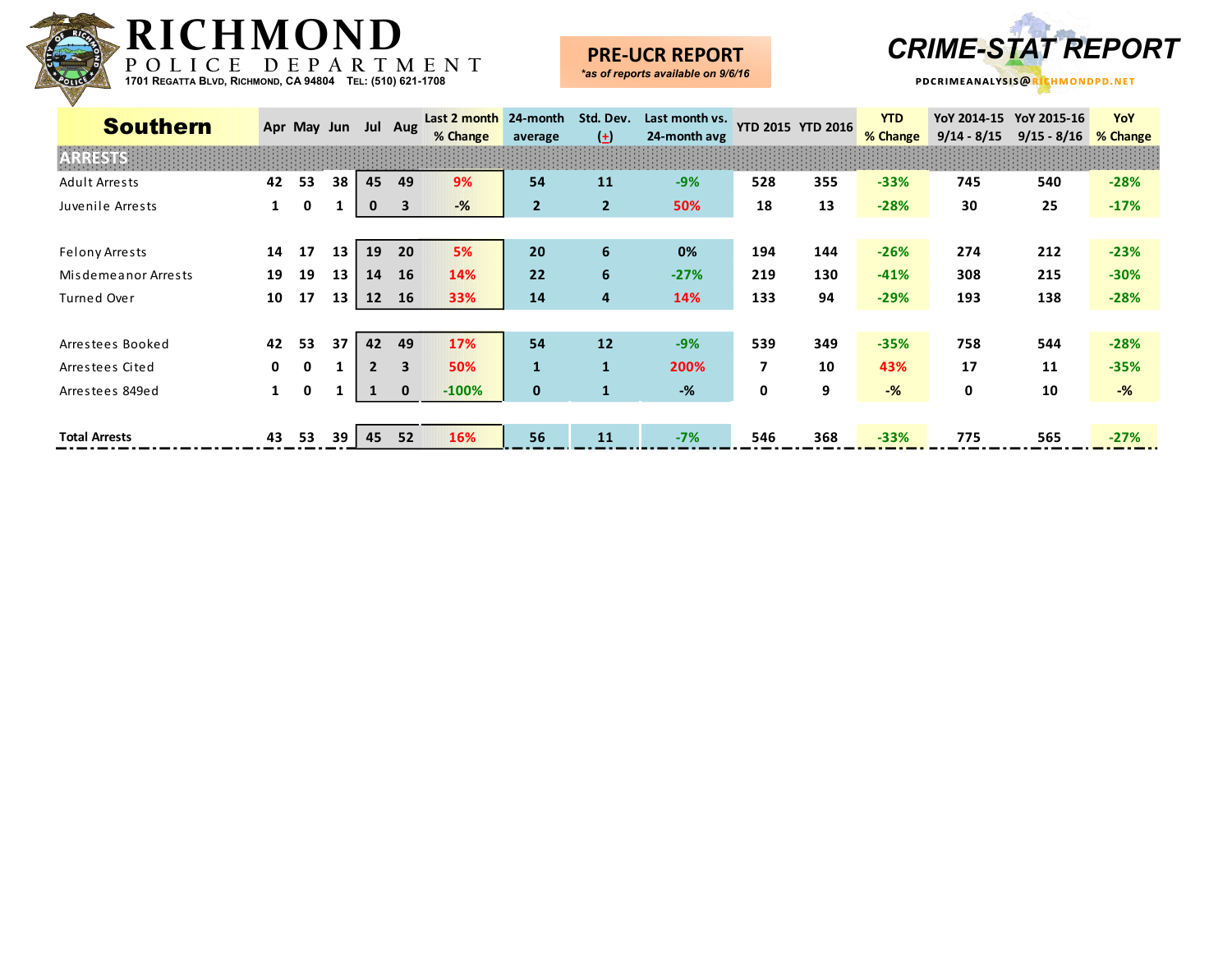

#### **PRE-UCR REPORT** *\*as of reports available on 9/6/16*



| <b>Southern</b>      | Apr May Jun  |              |      |                   | Jul Aug      | Last 2 month   | 24-month       | Std. Dev.            | Last month vs. |     | <b>YTD 2015 YTD 2016</b> | <b>YTD</b>     |               | YoY 2014-15 YoY 2015-16 | YoY            |  |
|----------------------|--------------|--------------|------|-------------------|--------------|----------------|----------------|----------------------|----------------|-----|--------------------------|----------------|---------------|-------------------------|----------------|--|
|                      |              |              |      |                   |              | % Change       | average        | $\left( \pm \right)$ | 24-month avg   |     |                          | % Change       | $9/14 - 8/15$ | $9/15 - 8/16$           | % Change       |  |
| <b>ARRESTS</b>       |              |              |      |                   |              |                |                |                      |                |     |                          |                |               |                         |                |  |
| Adult Arrests        | 42           | 53           | 38   | 45                | 49           | 9%             | 54             | 11                   | $-9%$          | 528 | 355                      | $-33%$         | 745           | 540                     | $-28%$         |  |
| Juvenile Arrests     | $\mathbf{1}$ | 0            |      | 0                 | 3            | $-\frac{9}{6}$ | $\overline{2}$ | $\overline{2}$       | 50%            | 18  | 13                       | $-28%$         | 30            | 25                      | $-17%$         |  |
|                      |              |              |      |                   |              |                |                |                      |                |     |                          |                |               |                         |                |  |
| Felony Arrests       | 14           | 17           | 13   | 19                | 20           | 5%             | 20             | 6                    | 0%             | 194 | 144                      | $-26%$         | 274           | 212                     | $-23%$         |  |
| Misdemeanor Arrests  | 19           | 19           | 13   | 14                | <b>16</b>    | 14%            | 22             | 6                    | $-27%$         | 219 | 130                      | $-41%$         | 308           | 215                     | $-30%$         |  |
| Turned Over          | 10           | 17           | 13   | $12 \overline{ }$ | <b>16</b>    | 33%            | 14             | 4                    | 14%            | 133 | 94                       | $-29%$         | 193           | 138                     | $-28%$         |  |
|                      |              |              |      |                   |              |                |                |                      |                |     |                          |                |               |                         |                |  |
| Arrestees Booked     | 42           | 53           | 37   | 42                | 49           | 17%            | 54             | 12                   | $-9%$          | 539 | 349                      | $-35%$         | 758           | 544                     | $-28%$         |  |
| Arrestees Cited      | $\mathbf{0}$ | $\mathbf{0}$ |      | $\overline{2}$    | $\mathbf{3}$ | 50%            | $\mathbf{1}$   | $\mathbf{1}$         | 200%           | 7   | 10                       | 43%            | 17            | 11                      | $-35%$         |  |
| Arrestees 849ed      | $\mathbf{1}$ | 0            |      |                   | $\mathbf{0}$ | $-100%$        | $\mathbf 0$    |                      | -%             | 0   | 9                        | $-\frac{9}{6}$ | 0             | 10                      | $-\frac{9}{6}$ |  |
|                      |              |              |      |                   |              |                |                |                      |                |     |                          |                |               |                         |                |  |
| <b>Total Arrests</b> | 43           | 53           | 39 I | 45                | 52           | 16%            | 56             | 11                   | $-7%$          | 546 | 368                      | $-33%$         | 775           | 565                     | $-27%$         |  |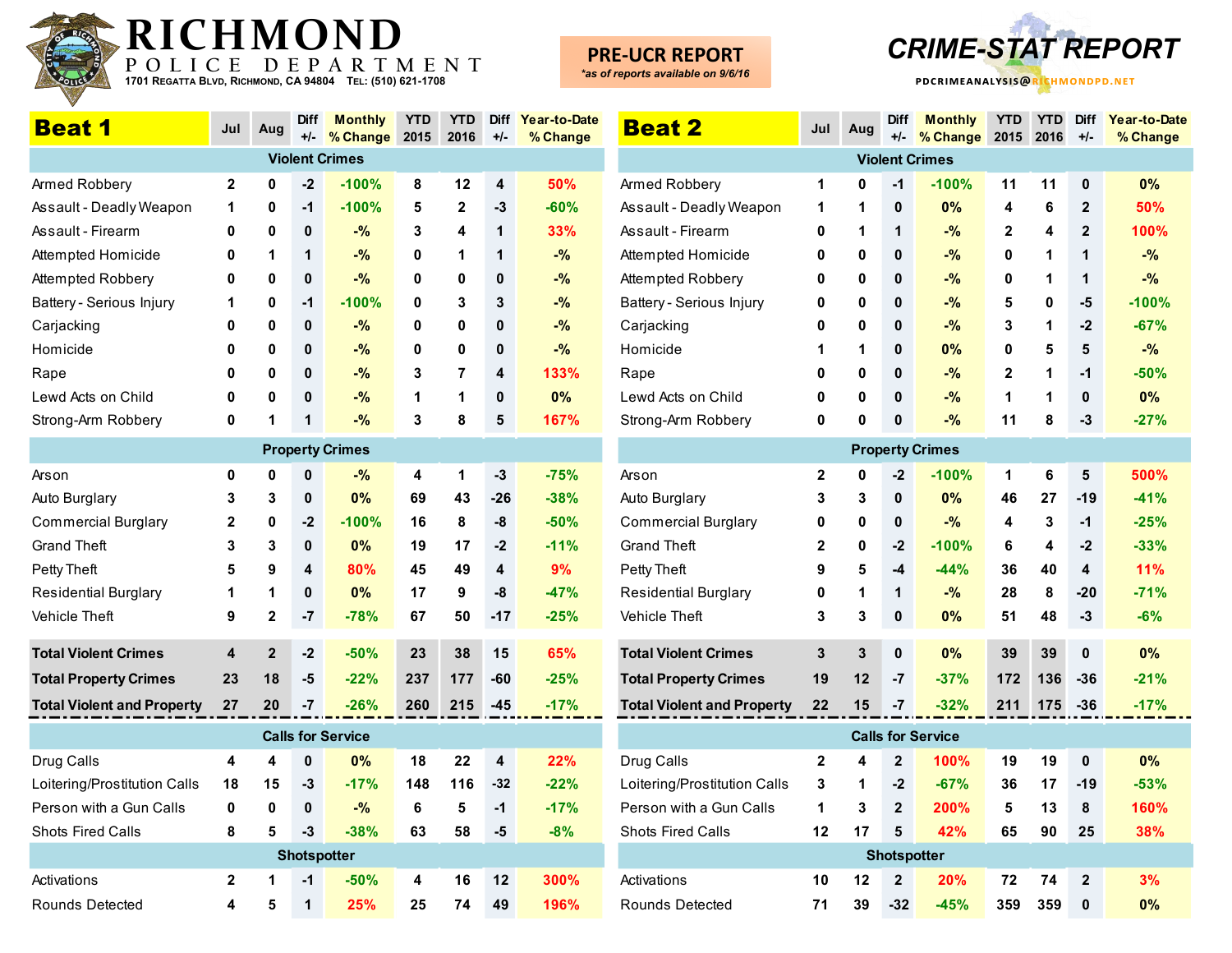

# **PRE-UCR REPORT**

*\*as of reports available on 9/6/16*



**YTD YTD Diff Year-to-Date**

**% Change**

| <b>Beat 1</b>                     | Jul         | Aug          | <b>Diff</b><br>$+/-$ | <b>Monthly</b><br>% Change | <b>YTD</b><br>2015 | <b>YTD</b><br>2016      | <b>Diff</b><br>$+/-$    | Year-to-Date<br>% Change | <b>Beat 2</b>                     | Jul          | Aug         | <b>Diff</b><br>$+/-$ | <b>Monthly</b><br>% Change | <b>YTD</b>   | <b>YTD</b><br>2015 2016 | <b>Diff</b><br>$+/-$ | Year-to-D<br>% Chang |
|-----------------------------------|-------------|--------------|----------------------|----------------------------|--------------------|-------------------------|-------------------------|--------------------------|-----------------------------------|--------------|-------------|----------------------|----------------------------|--------------|-------------------------|----------------------|----------------------|
|                                   |             |              |                      | <b>Violent Crimes</b>      |                    |                         |                         |                          |                                   |              |             |                      | <b>Violent Crimes</b>      |              |                         |                      |                      |
| Armed Robbery                     | $\mathbf 2$ | $\mathbf{0}$ | $-2$                 | $-100%$                    | 8                  | 12                      | 4                       | 50%                      | Armed Robbery                     | 1            | 0           | $-1$                 | $-100%$                    | 11           | 11                      | 0                    | 0%                   |
| Assault - Deadly Weapon           | 1           | 0            | $-1$                 | $-100%$                    | 5                  | $\mathbf{2}$            | -3                      | $-60%$                   | Assault - Deadly Weapon           | 1            | 1           | 0                    | 0%                         | 4            | 6                       | $\mathbf{2}$         | 50%                  |
| Assault - Firearm                 | 0           | 0            | 0                    | $-$ %                      | 3                  | $\overline{\mathbf{4}}$ | 1                       | 33%                      | Assault - Firearm                 | 0            | 1           | $\mathbf 1$          | $-$ %                      | $\mathbf{2}$ | 4                       | $\overline{2}$       | 100%                 |
| Attempted Homicide                | 0           | 1            | 1                    | -%                         | 0                  | $\mathbf 1$             | 1                       | $-$ %                    | Attempted Homicide                | 0            | 0           | 0                    | $-$ %                      | 0            | 1                       | $\mathbf 1$          | $-$ %                |
| Attempted Robbery                 | 0           | $\mathbf 0$  | $\mathbf{0}$         | $-$ %                      | 0                  | $\mathbf 0$             | $\bf{0}$                | $-$ %                    | Attempted Robbery                 | $\mathbf 0$  | $\mathbf 0$ | $\mathbf{0}$         | $-$ %                      | 0            | 1                       | $\mathbf{1}$         | $-$ %                |
| Battery - Serious Injury          | 1           | 0            | $-1$                 | $-100%$                    | 0                  | 3                       | 3                       | $-$ %                    | Battery - Serious Injury          | 0            | $\mathbf 0$ | 0                    | $-$ %                      | 5            | 0                       | -5                   | $-100%$              |
| Carjacking                        | 0           | $\mathbf 0$  | $\mathbf{0}$         | $-$ %                      | 0                  | $\mathbf 0$             | $\mathbf 0$             | $-$ %                    | Carjacking                        | 0            | $\mathbf 0$ | 0                    | $-$ %                      | 3            | 1                       | $-2$                 | $-67%$               |
| Homicide                          | O           | 0            | 0                    | -%                         | 0                  | $\mathbf 0$             | $\mathbf{0}$            | $-$ %                    | Homicide                          | 1            | 1           | $\mathbf{0}$         | 0%                         | 0            | 5                       | 5                    | $-$ %                |
| Rape                              | 0           | 0            | 0                    | $-$ %                      | 3                  | $\overline{7}$          | $\overline{\mathbf{4}}$ | 133%                     | Rape                              | 0            | 0           | 0                    | $-$ %                      | $\mathbf 2$  | 1                       | $-1$                 | $-50%$               |
| Lewd Acts on Child                | 0           | 0            | $\mathbf{0}$         | $-$ %                      | 1                  | $\mathbf 1$             | $\mathbf 0$             | 0%                       | Lewd Acts on Child                | 0            | $\pmb{0}$   | $\mathbf{0}$         | $-$ %                      | 1            | 1                       | 0                    | 0%                   |
| Strong-Arm Robbery                | 0           |              | 1                    | $-$ %                      | 3                  | 8                       | 5                       | 167%                     | Strong-Arm Robbery                | 0            | 0           | 0                    | -%                         | 11           | 8                       | $-3$                 | $-27%$               |
|                                   |             |              |                      | <b>Property Crimes</b>     |                    |                         |                         |                          |                                   |              |             |                      | <b>Property Crimes</b>     |              |                         |                      |                      |
| Arson                             | 0           | 0            | $\mathbf 0$          | $-%$                       | 4                  | 1                       | $-3$                    | $-75%$                   | Arson                             | $\mathbf{2}$ | 0           | $-2$                 | $-100%$                    | 1            | 6                       | 5                    | 500%                 |
| Auto Burglary                     | 3           | 3            | 0                    | 0%                         | 69                 | 43                      | $-26$                   | $-38%$                   | Auto Burglary                     | 3            | 3           | $\mathbf{0}$         | 0%                         | 46           | 27                      | $-19$                | $-41%$               |
| <b>Commercial Burglary</b>        | 2           | 0            | $-2$                 | $-100%$                    | 16                 | 8                       | -8                      | $-50%$                   | <b>Commercial Burglary</b>        | 0            | 0           | 0                    | -%                         | 4            | 3                       | $-1$                 | $-25%$               |
| <b>Grand Theft</b>                | 3           | 3            | $\mathbf 0$          | 0%                         | 19                 | 17                      | $-2$                    | $-11%$                   | <b>Grand Theft</b>                | 2            | $\mathbf 0$ | $-2$                 | $-100%$                    | 6            | 4                       | $-2$                 | $-33%$               |
| Petty Theft                       | 5           | 9            | 4                    | 80%                        | 45                 | 49                      | 4                       | 9%                       | Petty Theft                       | 9            | 5           | $-4$                 | -44%                       | 36           | 40                      | 4                    | 11%                  |
| <b>Residential Burglary</b>       | 1           | 1            | 0                    | 0%                         | 17                 | 9                       | -8                      | $-47%$                   | <b>Residential Burglary</b>       | 0            | 1           | 1                    | $-$ %                      | 28           | 8                       | $-20$                | $-71%$               |
| Vehicle Theft                     | 9           | $\mathbf 2$  | $-7$                 | $-78%$                     | 67                 | 50                      | $-17$                   | $-25%$                   | Vehicle Theft                     | 3            | 3           | 0                    | 0%                         | 51           | 48                      | $-3$                 | $-6%$                |
| <b>Total Violent Crimes</b>       | 4           | $\mathbf{2}$ | $-2$                 | $-50%$                     | 23                 | 38                      | 15                      | 65%                      | <b>Total Violent Crimes</b>       | 3            | 3           | $\mathbf{0}$         | 0%                         | 39           | 39                      | $\mathbf{0}$         | 0%                   |
| <b>Total Property Crimes</b>      | 23          | 18           | $-5$                 | $-22%$                     | 237                | 177                     | -60                     | $-25%$                   | <b>Total Property Crimes</b>      | 19           | 12          | $-7$                 | $-37%$                     | 172          | 136                     | $-36$                | $-21%$               |
| <b>Total Violent and Property</b> | 27          | 20           | $-7$                 | $-26%$                     | 260                | 215                     | -45                     | $-17%$                   | <b>Total Violent and Property</b> | 22           | 15          | $-7$                 | $-32%$                     | 211          | 175                     | -36                  | $-17%$               |
|                                   |             |              |                      | <b>Calls for Service</b>   |                    |                         |                         |                          |                                   |              |             |                      | <b>Calls for Service</b>   |              |                         |                      |                      |
| Drug Calls                        | 4           | 4            | 0                    | 0%                         | 18                 | 22                      | $\overline{\mathbf{4}}$ | 22%                      | Drug Calls                        | $\mathbf{2}$ | 4           | $\mathbf 2$          | 100%                       | 19           | 19                      | $\mathbf 0$          | 0%                   |
| Loitering/Prostitution Calls      | 18          | 15           | $-3$                 | $-17%$                     | 148                | 116                     | $-32$                   | $-22%$                   | Loitering/Prostitution Calls      | 3            | 1           | $-2$                 | $-67%$                     | 36           | 17                      | $-19$                | $-53%$               |
| Person with a Gun Calls           | 0           | 0            | $\mathbf 0$          | $-$ %                      | 6                  | 5                       | -1                      | $-17%$                   | Person with a Gun Calls           | 1            | 3           | $\mathbf 2$          | 200%                       | 5            | 13                      | $\bf 8$              | 160%                 |
| Shots Fired Calls                 | 8           | 5            | $-3$                 | $-38%$                     | 63                 | 58                      | $-5$                    | $-8%$                    | Shots Fired Calls                 | 12           | 17          | 5                    | 42%                        | 65           | 90                      | 25                   | 38%                  |
|                                   |             |              |                      | <b>Shotspotter</b>         |                    |                         |                         |                          |                                   |              |             |                      | <b>Shotspotter</b>         |              |                         |                      |                      |
| Activations                       | 2           |              | $-1$                 | $-50%$                     | 4                  | 16                      | 12                      | 300%                     | Activations                       | 10           | 12          | $\overline{2}$       | 20%                        | 72           | 74                      | $\overline{2}$       | 3%                   |
| Rounds Detected                   | 4           | 5            | 1                    | 25%                        | 25                 | 74                      | 49                      | 196%                     | Rounds Detected                   | 71           | 39          | $-32$                | $-45%$                     | 359          | 359                     | $\mathbf{0}$         | 0%                   |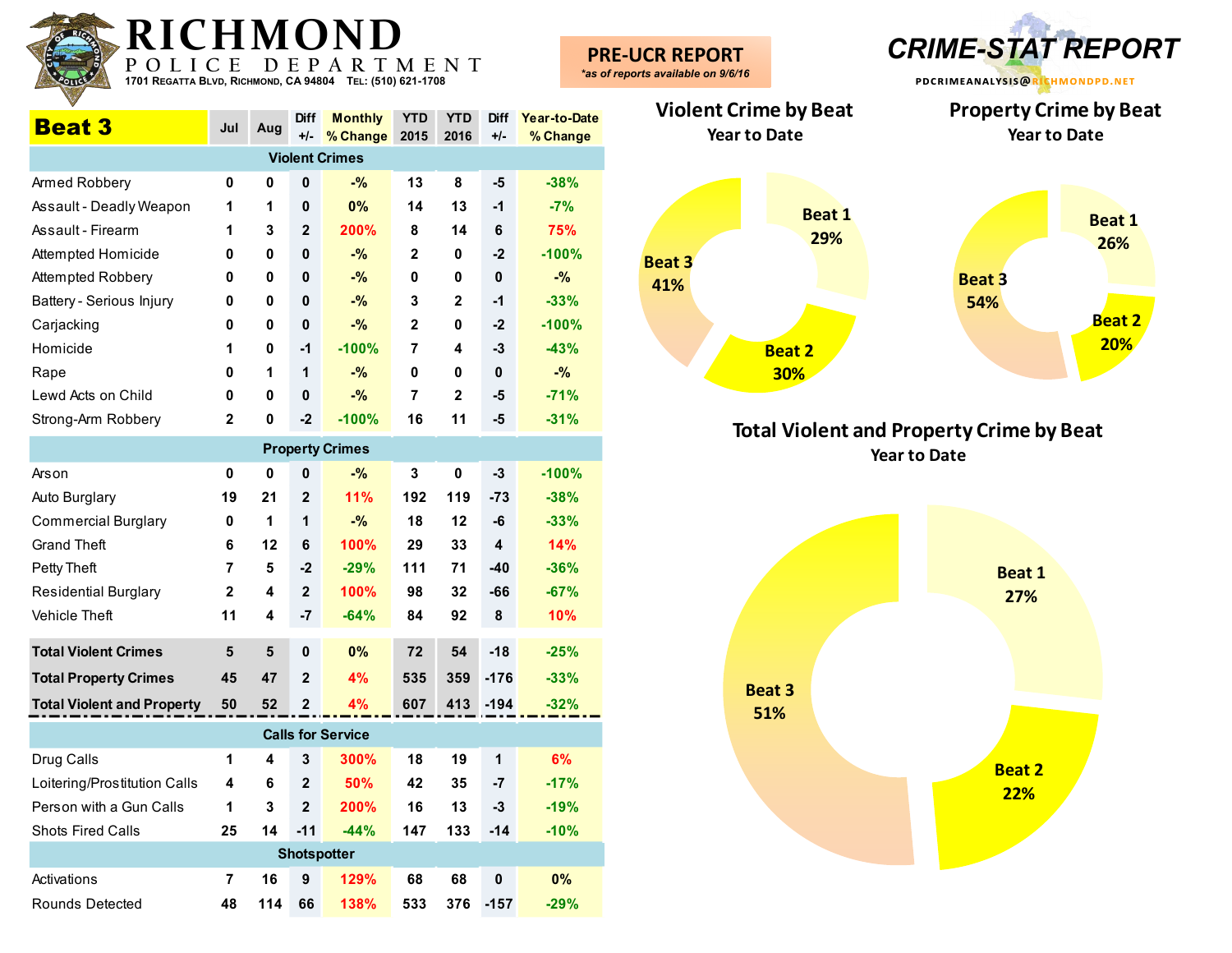| P O<br>1701 REGATTA BLVD, RICHMOND, CA 94804 |                |           | E             | P A R<br>T<br>TEL: (510) 621-1708 |                    | MENT               |                      |                          | <b>PRE-UCR REPORT</b><br>*as of reports available on 9/6/16 |
|----------------------------------------------|----------------|-----------|---------------|-----------------------------------|--------------------|--------------------|----------------------|--------------------------|-------------------------------------------------------------|
| <b>Beat 3</b>                                | Jul            | Aug       | Diff<br>$+/-$ | <b>Monthly</b><br>% Change        | <b>YTD</b><br>2015 | <b>YTD</b><br>2016 | <b>Diff</b><br>$+/-$ | Year-to-Date<br>% Change | <b>Violent Crir</b><br>Year to                              |
|                                              |                |           |               | <b>Violent Crimes</b>             |                    |                    |                      |                          |                                                             |
| Armed Robbery                                | 0              | 0         | 0             | $-$ %                             | 13                 | 8                  | $-5$                 | $-38%$                   |                                                             |
| Assault - Deadly Weapon                      | 1              | 1         | 0             | 0%                                | 14                 | 13                 | $-1$                 | $-7%$                    |                                                             |
| Assault - Firearm                            | 1              | 3         | $\mathbf{2}$  | 200%                              | 8                  | 14                 | 6                    | 75%                      |                                                             |
| Attempted Homicide                           | 0              | 0         | 0             | $-$ %                             | 2                  | 0                  | $-2$                 | $-100%$                  | <b>Beat 3</b>                                               |
| Attempted Robbery                            | 0              | 0         | 0             | $-$ %                             | 0                  | 0                  | $\pmb{0}$            | $-$ %                    | 41%                                                         |
| Battery - Serious Injury                     | 0              | 0         | 0             | $-$ %                             | 3                  | $\mathbf 2$        | $-1$                 | $-33%$                   |                                                             |
| Carjacking                                   | 0              | 0         | $\mathbf 0$   | $-$ %                             | 2                  | $\mathbf 0$        | $-2$                 | $-100%$                  |                                                             |
| Homicide                                     | 1              | 0         | $-1$          | $-100%$                           | 7                  | 4                  | $-3$                 | $-43%$                   |                                                             |
| Rape                                         | 0              | 1         | 1             | $-$ %                             | 0                  | 0                  | $\pmb{0}$            | $-$ %                    |                                                             |
| Lewd Acts on Child                           | $\mathbf 0$    | 0         | $\mathbf 0$   | $-$ %                             | $\overline{7}$     | 2                  | -5                   | $-71%$                   |                                                             |
| Strong-Arm Robbery                           | $\mathbf{2}$   | 0         | $-2$          | $-100%$                           | 16                 | 11                 | -5                   | $-31%$                   |                                                             |
|                                              |                |           |               | <b>Property Crimes</b>            |                    |                    |                      |                          | Tot                                                         |
| Arson                                        | $\pmb{0}$      | $\pmb{0}$ | 0             | $-$ %                             | $\mathbf{3}$       | $\mathbf 0$        | $-3$                 | $-100%$                  |                                                             |
| Auto Burglary                                | 19             | 21        | $\mathbf{2}$  | 11%                               | 192                | 119                | $-73$                | $-38%$                   |                                                             |
| <b>Commercial Burglary</b>                   | 0              | 1         | 1             | $-$ %                             | 18                 | 12                 | -6                   | $-33%$                   |                                                             |
| <b>Grand Theft</b>                           | 6              | 12        | 6             | 100%                              | 29                 | 33                 | 4                    | 14%                      |                                                             |
| Petty Theft                                  | 7              | 5         | $-2$          | $-29%$                            | 111                | 71                 | $-40$                | $-36%$                   |                                                             |
| <b>Residential Burglary</b>                  | $\mathbf{2}$   | 4         | $\mathbf{2}$  | 100%                              | 98                 | 32                 | -66                  | $-67%$                   |                                                             |
| Vehicle Theft                                | 11             | 4         | $-7$          | $-64%$                            | 84                 | 92                 | $\pmb{8}$            | 10%                      |                                                             |
| <b>Total Violent Crimes</b>                  | $5\phantom{1}$ | 5         | 0             | 0%                                | 72                 | 54                 | $-18$                | $-25%$                   |                                                             |
| <b>Total Property Crimes</b>                 | 45             | 47        | $\mathbf{2}$  | 4%                                | 535                | 359                | $-176$               | $-33%$                   |                                                             |
| <b>Total Violent and Property</b>            | 50             | 52        | $\mathbf{2}$  | 4%                                | 607                | 413                | $-194$               | $-32%$                   | B <sub>o</sub><br>E,                                        |
|                                              |                |           |               | <b>Calls for Service</b>          |                    |                    |                      |                          |                                                             |
| Drug Calls                                   | 1              | 4         | 3             | 300%                              | 18                 | 19                 | 1                    | 6%                       |                                                             |
| Loitering/Prostitution Calls                 | 4              | 6         | $\mathbf{2}$  | 50%                               | 42                 | 35                 | $-7$                 | $-17%$                   |                                                             |
| Person with a Gun Calls                      | 1              | 3         | $\mathbf{2}$  | 200%                              | 16                 | 13                 | $-3$                 | $-19%$                   |                                                             |
| Shots Fired Calls                            | 25             | 14        | $-11$         | $-44%$                            | 147                | 133                | $-14$                | $-10%$                   |                                                             |
|                                              |                |           |               | <b>Shotspotter</b>                |                    |                    |                      |                          |                                                             |
| Activations                                  | 7              | 16        | 9             | 129%                              | 68                 | 68                 | $\pmb{0}$            | 0%                       |                                                             |
| Rounds Detected                              | 48             | 114 66    |               | 138%                              | 533                |                    | 376 - 157            | $-29%$                   |                                                             |



**-UCR REPORT** *CRIME-STAT REPORT*

**Total Violent and Property Crime by Beat Year to Date**

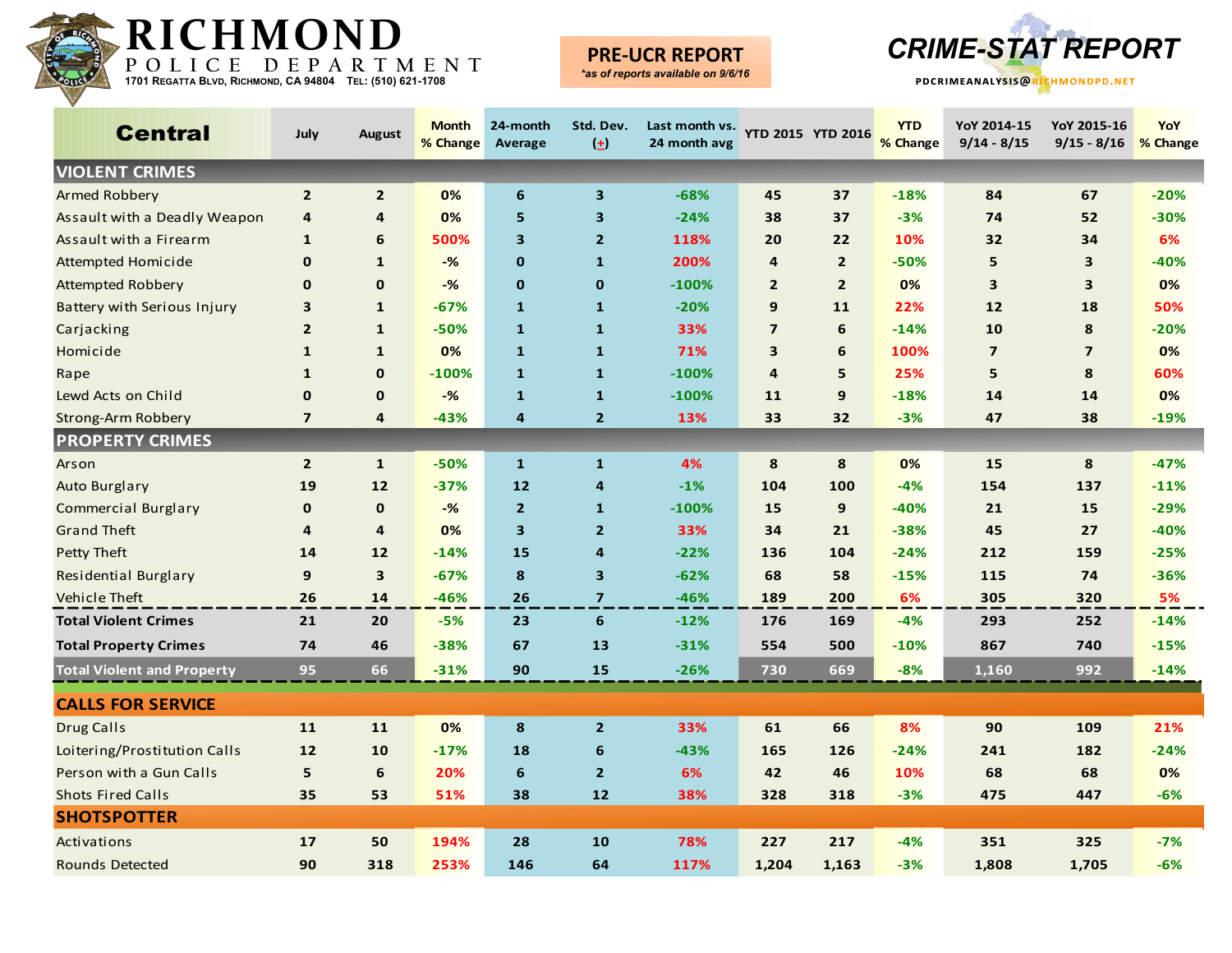

# **PRE-UCR REPORT**



| <b>Central</b>                    | July           | <b>August</b>           | <b>Month</b><br>% Change | 24-month<br>Average | Std. Dev.<br>$(\pm)$    | Last month vs.<br>24 month avg |                         | YTD 2015 YTD 2016 | <b>YTD</b><br>% Change | YoY 2014-15<br>$9/14 - 8/15$ | YoY 2015-16<br>$9/15 - 8/16$ | YoY<br>% Change |
|-----------------------------------|----------------|-------------------------|--------------------------|---------------------|-------------------------|--------------------------------|-------------------------|-------------------|------------------------|------------------------------|------------------------------|-----------------|
| <b>VIOLENT CRIMES</b>             |                |                         |                          |                     |                         |                                |                         |                   |                        |                              |                              |                 |
| <b>Armed Robbery</b>              | $\overline{2}$ | $\overline{2}$          | 0%                       | 6                   | $\mathbf{3}$            | $-68%$                         | 45                      | 37                | $-18%$                 | 84                           | 67                           | $-20%$          |
| Assault with a Deadly Weapon      | $\overline{4}$ | 4                       | 0%                       | 5                   | $\overline{\mathbf{3}}$ | $-24%$                         | 38                      | 37                | $-3%$                  | 74                           | 52                           | $-30%$          |
| Assault with a Firearm            | 1              | 6                       | 500%                     | 3                   | $\overline{2}$          | 118%                           | 20                      | 22                | 10%                    | 32                           | 34                           | 6%              |
| Attempted Homicide                | $\mathbf 0$    | $\mathbf{1}$            | $-%$                     | $\mathbf 0$         | $\mathbf{1}$            | 200%                           | 4                       | $\overline{2}$    | $-50%$                 | 5                            | $\overline{\mathbf{3}}$      | $-40%$          |
| <b>Attempted Robbery</b>          | $\mathbf 0$    | $\mathbf 0$             | $-%$                     | $\mathbf 0$         | $\mathbf 0$             | $-100%$                        | $\overline{2}$          | $\overline{2}$    | 0%                     | 3                            | $\mathbf{3}$                 | 0%              |
| Battery with Serious Injury       | 3              | $\mathbf{1}$            | $-67%$                   | $\mathbf{1}$        | $\mathbf{1}$            | $-20%$                         | 9                       | 11                | 22%                    | 12                           | 18                           | 50%             |
| Carjacking                        | $\overline{2}$ | $\mathbf{1}$            | $-50%$                   | $\mathbf{1}$        | $\mathbf{1}$            | 33%                            | $\overline{7}$          | 6                 | $-14%$                 | 10                           | 8                            | $-20%$          |
| Homicide                          | $\mathbf{1}$   | $\mathbf{1}$            | 0%                       | $\mathbf{1}$        | $\mathbf{1}$            | 71%                            | $\overline{\mathbf{3}}$ | 6                 | 100%                   | $\overline{7}$               | $\overline{7}$               | 0%              |
| Rape                              | $\mathbf{1}$   | $\mathbf 0$             | $-100%$                  | $\mathbf{1}$        | $\mathbf{1}$            | $-100%$                        | $\overline{\mathbf{4}}$ | 5                 | 25%                    | 5                            | 8                            | 60%             |
| Lewd Acts on Child                | $\mathbf 0$    | $\mathbf 0$             | $-%$                     | $\mathbf{1}$        | $\mathbf{1}$            | $-100%$                        | 11                      | 9                 | $-18%$                 | 14                           | 14                           | 0%              |
| <b>Strong-Arm Robbery</b>         | $\overline{7}$ | 4                       | $-43%$                   | $\overline{a}$      | $\overline{2}$          | 13%                            | 33                      | 32                | $-3%$                  | 47                           | 38                           | $-19%$          |
| <b>PROPERTY CRIMES</b>            |                |                         |                          |                     |                         |                                |                         |                   |                        |                              |                              |                 |
| Arson                             | $\overline{2}$ | $\mathbf{1}$            | $-50%$                   | $\mathbf{1}$        | $\mathbf{1}$            | 4%                             | 8                       | 8                 | 0%                     | 15                           | 8                            | $-47%$          |
| <b>Auto Burglary</b>              | 19             | 12                      | $-37%$                   | 12                  | $\overline{4}$          | $-1%$                          | 104                     | 100               | $-4%$                  | 154                          | 137                          | $-11%$          |
| <b>Commercial Burglary</b>        | $\mathbf 0$    | $\mathbf 0$             | $-%$                     | 2 <sup>2</sup>      | $\mathbf{1}$            | $-100%$                        | 15                      | 9                 | $-40%$                 | 21                           | 15                           | $-29%$          |
| <b>Grand Theft</b>                | 4              | $\overline{4}$          | 0%                       | 3                   | $\overline{2}$          | 33%                            | 34                      | 21                | $-38%$                 | 45                           | 27                           | $-40%$          |
| Petty Theft                       | 14             | $12$                    | $-14%$                   | 15                  | $\overline{4}$          | $-22%$                         | 136                     | 104               | $-24%$                 | 212                          | 159                          | $-25%$          |
| Residential Burglary              | 9              | $\overline{\mathbf{3}}$ | $-67%$                   | 8                   | $\overline{\mathbf{3}}$ | $-62%$                         | 68                      | 58                | $-15%$                 | 115                          | 74                           | $-36%$          |
| <b>Vehicle Theft</b>              | 26             | 14                      | $-46%$                   | 26                  | $\overline{7}$          | $-46%$                         | 189                     | 200               | 6%                     | 305                          | 320                          | 5%              |
| <b>Total Violent Crimes</b>       | 21             | 20                      | $-5%$                    | 23                  | $6\phantom{1}6$         | $-12%$                         | 176                     | 169               | $-4%$                  | 293                          | 252                          | $-14%$          |
| <b>Total Property Crimes</b>      | 74             | 46                      | $-38%$                   | 67                  | 13                      | $-31%$                         | 554                     | 500               | $-10%$                 | 867                          | 740                          | $-15%$          |
| <b>Total Violent and Property</b> | 95             | 66                      | $-31%$                   | 90                  | 15                      | $-26%$                         | 730                     | 669               | $-8%$                  | 1,160                        | 992                          | $-14%$          |
| <b>CALLS FOR SERVICE</b>          |                |                         |                          |                     |                         |                                |                         |                   |                        |                              |                              |                 |
| <b>Drug Calls</b>                 | 11             | 11                      | 0%                       | 8                   | $\overline{2}$          | 33%                            | 61                      | 66                | 8%                     | 90                           | 109                          | 21%             |
| Loitering/Prostitution Calls      | 12             | 10                      | $-17%$                   | 18                  | 6                       | $-43%$                         | 165                     | 126               | $-24%$                 | 241                          | 182                          | $-24%$          |
| Person with a Gun Calls           | 5              | $6\phantom{1}6$         | 20%                      | $6\phantom{1}6$     | $\overline{2}$          | 6%                             | 42                      | 46                | 10%                    | 68                           | 68                           | 0%              |
| <b>Shots Fired Calls</b>          | 35             | 53                      | 51%                      | 38                  | 12                      | 38%                            | 328                     | 318               | $-3%$                  | 475                          | 447                          | $-6%$           |
| <b>SHOTSPOTTER</b>                |                |                         |                          |                     |                         |                                |                         |                   |                        |                              |                              |                 |
| Activations                       | 17             | 50                      | 194%                     | 28                  | 10                      | 78%                            | 227                     | 217               | -4%                    | 351                          | 325                          | $-7%$           |
| <b>Rounds Detected</b>            | 90             | 318                     | 253%                     | 146                 | 64                      | 117%                           | 1,204                   | 1,163             | $-3%$                  | 1,808                        | 1,705                        | $-6%$           |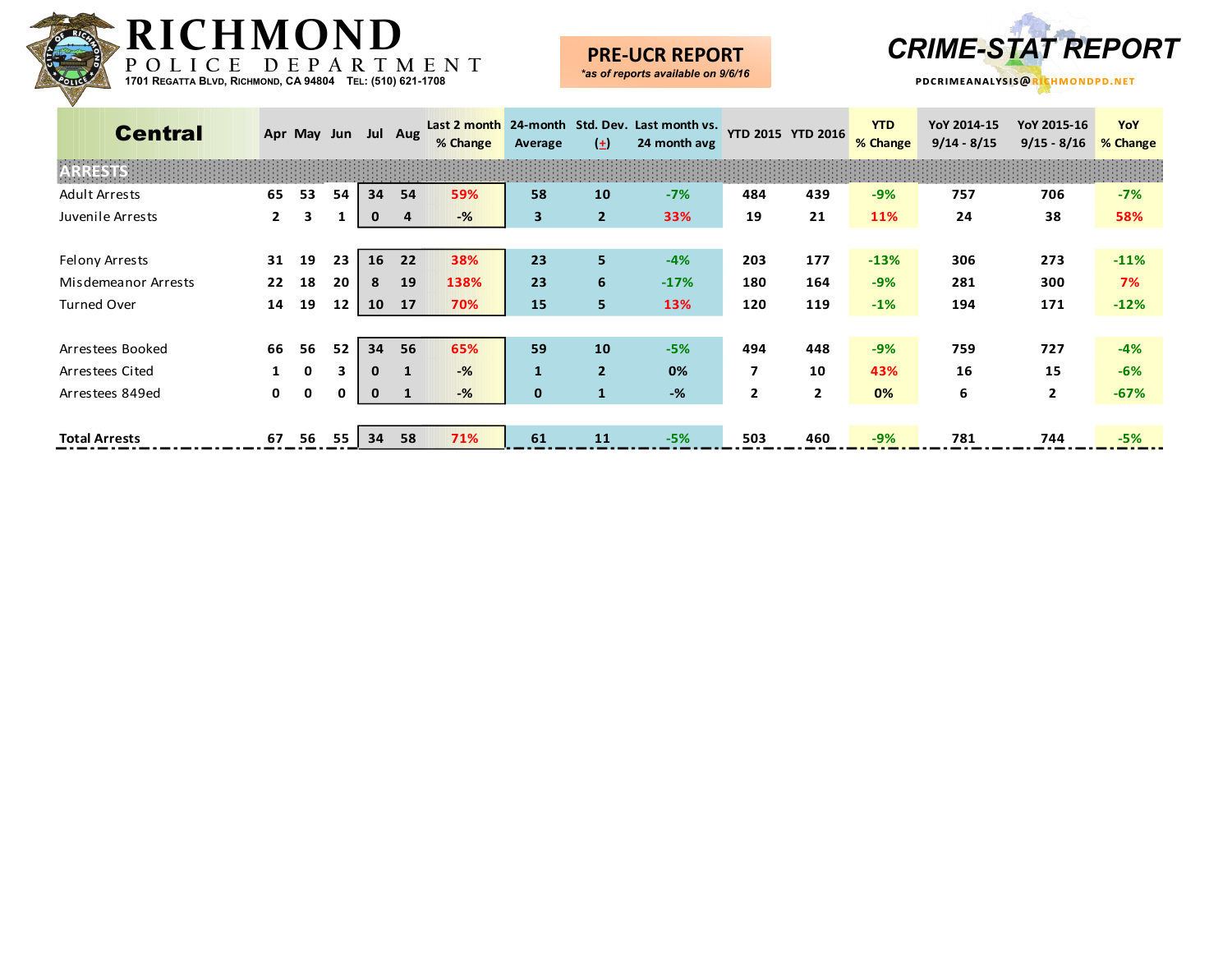

## **PRE-UCR REPORT**



| <b>Central</b>       |              | Apr May Jun |    |              | Jul Aug        | Last 2 month<br>% Change                | Average      | $(\pm)$        | 24-month Std. Dev. Last month vs.<br>24 month avg | YTD 2015 YTD 2016 |                | <b>YTD</b><br>% Change | YoY 2014-15<br>$9/14 - 8/15$ | YoY 2015-16<br>$9/15 - 8/16$ | YoY<br>% Change |
|----------------------|--------------|-------------|----|--------------|----------------|-----------------------------------------|--------------|----------------|---------------------------------------------------|-------------------|----------------|------------------------|------------------------------|------------------------------|-----------------|
| ESTS:                |              |             |    |              |                | and the state of the state of the state |              |                |                                                   |                   |                |                        |                              |                              |                 |
| <b>Adult Arrests</b> | 65           | 53          | 54 | 34           | 54             | 59%                                     | 58           | 10             | $-7%$                                             | 484               | 439            | $-9%$                  | 757                          | 706                          | $-7%$           |
| Juvenile Arrests     | $\mathbf{2}$ | 3           | 1  | 0            | $\overline{a}$ | -%                                      | $\mathbf{3}$ | $\overline{2}$ | 33%                                               | 19                | 21             | 11%                    | 24                           | 38                           | 58%             |
|                      |              |             |    |              |                |                                         |              |                |                                                   |                   |                |                        |                              |                              |                 |
| Felony Arrests       | 31           | 19          | 23 | 16           | 22             | 38%                                     | 23           | 5 <sup>1</sup> | $-4%$                                             | 203               | 177            | $-13%$                 | 306                          | 273                          | $-11%$          |
| Misdemeanor Arrests  | 22           | 18          | 20 | 8            | 19             | 138%                                    | 23           | 6              | $-17%$                                            | 180               | 164            | $-9%$                  | 281                          | 300                          | 7%              |
| <b>Turned Over</b>   | 14           | 19          | 12 | 10           | 17             | 70%                                     | 15           | 5              | 13%                                               | 120               | 119            | $-1%$                  | 194                          | 171                          | $-12%$          |
|                      |              |             |    |              |                |                                         |              |                |                                                   |                   |                |                        |                              |                              |                 |
| Arrestees Booked     | 66           | 56          | 52 | 34           | 56             | 65%                                     | 59           | 10             | $-5%$                                             | 494               | 448            | $-9%$                  | 759                          | 727                          | $-4%$           |
| Arrestees Cited      |              | 0           | 3  | $\mathbf{0}$ | $\mathbf{1}$   | $-$ %                                   | $\mathbf{1}$ | $\overline{2}$ | 0%                                                | $\overline{ }$    | 10             | 43%                    | 16                           | 15                           | $-6%$           |
| Arrestees 849ed      | $\mathbf{0}$ | 0           | 0  | $\mathbf 0$  |                | $-$ %                                   | $\mathbf{0}$ | $\mathbf{1}$   | $-%$                                              | $\overline{2}$    | $\overline{2}$ | 0%                     | 6                            | $\mathbf{2}$                 | $-67%$          |
|                      |              |             |    |              |                |                                         |              |                |                                                   |                   |                |                        |                              |                              |                 |
| <b>Total Arrests</b> | 67           | 56          | 55 | 34           | 58             | 71%                                     | 61           | 11             | $-5%$                                             | 503               | 460            | $-9%$                  | 781                          | 744                          | $-5%$           |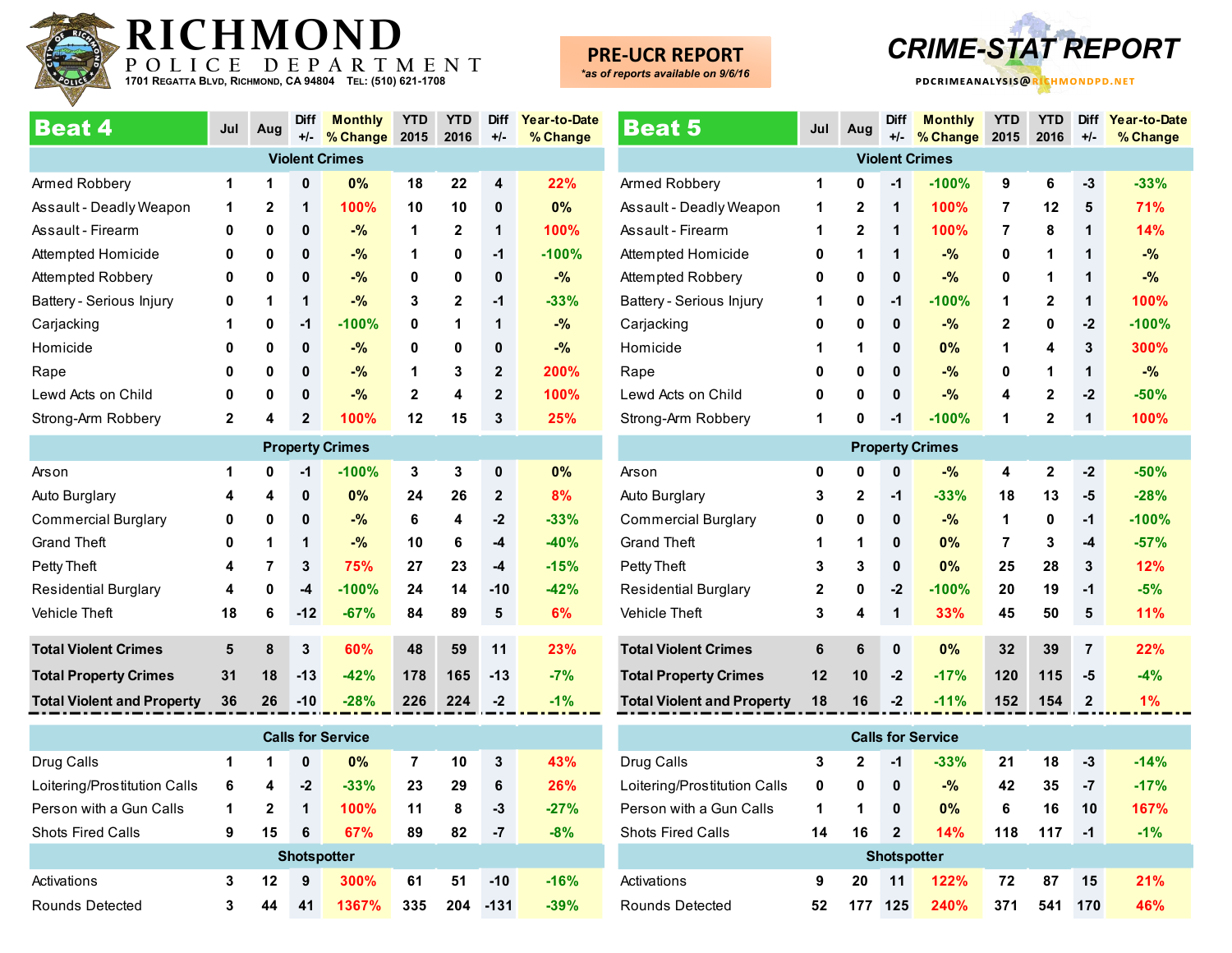

#### **PRE-UCR REPORT** *\*as of reports available on 9/6/16*

**pdcrimeanalysis@richmondpd.net -UCR REPORT** *CRIME-STAT REPORT*

| <b>Beat 4</b>                     | Jul         | Aug | <b>Diff</b><br>$+/-$ | <b>Monthly</b><br>% Change | <b>YTD</b><br>2015 | <b>YTD</b><br>2016 | <b>Diff</b><br>$+/-$ | Year-to-Date<br>% Change |
|-----------------------------------|-------------|-----|----------------------|----------------------------|--------------------|--------------------|----------------------|--------------------------|
|                                   |             |     |                      | <b>Violent Crimes</b>      |                    |                    |                      |                          |
| Armed Robbery                     | 1           | 1   | $\bf{0}$             | 0%                         | 18                 | 22                 | 4                    | 22%                      |
| Assault - Deadly Weapon           | 1           | 2   | 1                    | 100%                       | 10                 | 10                 | 0                    | 0%                       |
| Assault - Firearm                 | 0           | 0   | $\mathbf 0$          | $-$ %                      | 1                  | $\mathbf{2}$       | 1                    | 100%                     |
| Attempted Homicide                | 0           | 0   | $\mathbf{0}$         | $-$ %                      | 1                  | 0                  | $-1$                 | $-100%$                  |
| Attempted Robbery                 | 0           | 0   | 0                    | $-$ %                      | 0                  | 0                  | $\mathbf{0}$         | $-%$                     |
| Battery - Serious Injury          | 0           | 1   | 1                    | $-$ %                      | 3                  | $\mathbf{2}$       | $-1$                 | $-33%$                   |
| Carjacking                        | 1           | 0   | $-1$                 | $-100%$                    | 0                  | 1                  | 1                    | $-$ %                    |
| Homicide                          | 0           | 0   | $\mathbf 0$          | $-$ %                      | 0                  | 0                  | 0                    | $-$ %                    |
| Rape                              | 0           | 0   | 0                    | $-$ %                      | 1                  | 3                  | $\overline{2}$       | 200%                     |
| Lewd Acts on Child                | 0           | 0   | $\mathbf{0}$         | $-$ %                      | $\mathbf{2}$       | 4                  | $\overline{2}$       | 100%                     |
| Strong-Arm Robbery                | $\mathbf 2$ | 4   | 2                    | 100%                       | 12                 | 15                 | 3                    | 25%                      |
|                                   |             |     |                      | <b>Property Crimes</b>     |                    |                    |                      |                          |
| Arson                             | 1           | 0   | $-1$                 | $-100%$                    | 3                  | 3                  | 0                    | 0%                       |
| Auto Burglary                     | 4           | 4   | 0                    | 0%                         | 24                 | 26                 | $\overline{2}$       | 8%                       |
| <b>Commercial Burglary</b>        | 0           | 0   | 0                    | $-$ %                      | 6                  | 4                  | $-2$                 | $-33%$                   |
| <b>Grand Theft</b>                | 0           | 1   | 1                    | $-$ %                      | 10                 | 6                  | $-4$                 | $-40%$                   |
| Petty Theft                       | 4           | 7   | 3                    | 75%                        | 27                 | 23                 | $-4$                 | $-15%$                   |
| <b>Residential Burglary</b>       | 4           | 0   | $-4$                 | $-100%$                    | 24                 | 14                 | $-10$                | $-42%$                   |
| Vehicle Theft                     | 18          | 6   | $-12$                | $-67%$                     | 84                 | 89                 | 5                    | 6%                       |
| <b>Total Violent Crimes</b>       | 5           | 8   | 3                    | 60%                        | 48                 | 59                 | 11                   | 23%                      |
| <b>Total Property Crimes</b>      | 31          | 18  | $-13$                | $-42%$                     | 178                | 165                | $-13$                | $-7%$                    |
| <b>Total Violent and Property</b> | 36          | 26  | $-10$                | $-28%$                     | 226                | 224                | $-2$                 | $-1%$                    |
|                                   |             |     |                      | <b>Calls for Service</b>   |                    |                    |                      |                          |

| <b>Calls for Service</b>     |   |              |      |        |     |     |       |        |  |  |  |  |
|------------------------------|---|--------------|------|--------|-----|-----|-------|--------|--|--|--|--|
| Drug Calls                   |   | 1            | 0    | 0%     | 7   | 10  | 3     | 43%    |  |  |  |  |
| Loitering/Prostitution Calls | 6 | 4            | $-2$ | $-33%$ | 23  | 29  | 6     | 26%    |  |  |  |  |
| Person with a Gun Calls      | 1 | $\mathbf{2}$ | 1    | 100%   | 11  | 8   | -3    | $-27%$ |  |  |  |  |
| <b>Shots Fired Calls</b>     | 9 | 15           | 6    | 67%    | 89  | 82  | -7    | $-8%$  |  |  |  |  |
| <b>Shotspotter</b>           |   |              |      |        |     |     |       |        |  |  |  |  |
| Activations                  | 3 | $12 \,$      | 9    | 300%   | 61  | 51  | $-10$ | $-16%$ |  |  |  |  |
| Rounds Detected              | 3 | 44           | 41   | 1367%  | 335 | 204 | -131  | $-39%$ |  |  |  |  |

| <b>Beat 5</b>                     | Jul          | Aug          | <b>Diff</b><br>$+/-$ | <b>Monthly</b><br>% Change | <b>YTD</b><br>2015 | <b>YTD</b><br>2016 | <b>Diff</b><br>$+/-$ | Year-to-Date<br>% Change |  |  |  |  |  |
|-----------------------------------|--------------|--------------|----------------------|----------------------------|--------------------|--------------------|----------------------|--------------------------|--|--|--|--|--|
|                                   |              |              |                      | <b>Violent Crimes</b>      |                    |                    |                      |                          |  |  |  |  |  |
| Armed Robbery                     | 1            | 0            | $-1$                 | $-100%$                    | 9                  | 6                  | $-3$                 | $-33%$                   |  |  |  |  |  |
| Assault - Deadly Weapon           | 1            | $\mathbf{2}$ | 1                    | 100%                       | 7                  | 12                 | 5                    | 71%                      |  |  |  |  |  |
| Assault - Firearm                 | 1            | $\mathbf{2}$ | 1                    | 100%                       | 7                  | 8                  | 1                    | 14%                      |  |  |  |  |  |
| Attempted Homicide                | 0            | 1            | 1                    | $-$ %                      | 0                  | 1                  | 1                    | $-%$                     |  |  |  |  |  |
| Attempted Robbery                 | 0            | 0            | 0                    | $-$ %                      | 0                  | 1                  | 1                    | $-$ %                    |  |  |  |  |  |
| Battery - Serious Injury          | 1            | 0            | $-1$                 | $-100%$                    | 1                  | $\overline{2}$     | 1                    | 100%                     |  |  |  |  |  |
| Carjacking                        | 0            | 0            | 0                    | $-$ %                      | 2                  | 0                  | $-2$                 | $-100%$                  |  |  |  |  |  |
| Homicide                          | 1            | 1            | 0                    | 0%                         | 1                  | 4                  | 3                    | 300%                     |  |  |  |  |  |
| Rape                              | 0            | 0            | 0                    | $-$ %                      | 0                  | 1                  | 1                    | $-%$                     |  |  |  |  |  |
| Lewd Acts on Child                | 0            | 0            | $\mathbf 0$          | $-$ %                      | 4                  | $\mathbf{2}$       | -2                   | $-50%$                   |  |  |  |  |  |
| Strong-Arm Robbery                | 1            | 0            | $-1$                 | $-100%$                    | 1                  | $\overline{2}$     | 1                    | 100%                     |  |  |  |  |  |
| <b>Property Crimes</b>            |              |              |                      |                            |                    |                    |                      |                          |  |  |  |  |  |
| Arson                             | 0            | 0            | $\mathbf 0$          | $-$ %                      | 4                  | $\overline{2}$     | $-2$                 | $-50%$                   |  |  |  |  |  |
| Auto Burglary                     | 3            | $\mathbf{2}$ | -1                   | $-33%$                     | 18                 | 13                 | -5                   | $-28%$                   |  |  |  |  |  |
| <b>Commercial Burglary</b>        | 0            | 0            | 0                    | $-$ %                      | 1                  | 0                  | $-1$                 | $-100%$                  |  |  |  |  |  |
| <b>Grand Theft</b>                | 1            | 1            | $\mathbf 0$          | 0%                         | 7                  | 3                  | -4                   | $-57%$                   |  |  |  |  |  |
| Petty Theft                       | 3            | 3            | $\mathbf{0}$         | 0%                         | 25                 | 28                 | 3                    | 12%                      |  |  |  |  |  |
| <b>Residential Burglary</b>       | $\mathbf{2}$ | 0            | $-2$                 | $-100%$                    | 20                 | 19                 | $-1$                 | $-5%$                    |  |  |  |  |  |
| Vehicle Theft                     | 3            | 4            | $\mathbf 1$          | 33%                        | 45                 | 50                 | 5                    | 11%                      |  |  |  |  |  |
| <b>Total Violent Crimes</b>       | 6            | 6            | $\bf{0}$             | 0%                         | 32                 | 39                 | $\overline{7}$       | 22%                      |  |  |  |  |  |
| <b>Total Property Crimes</b>      | 12           | 10           | $-2$                 | $-17%$                     | 120                | 115                | -5                   | $-4%$                    |  |  |  |  |  |
| <b>Total Violent and Property</b> | 18           | 16           | $-2$                 | $-11%$                     | 152                | 154                | $\mathbf 2$          | 1%                       |  |  |  |  |  |
|                                   |              |              |                      |                            |                    |                    |                      |                          |  |  |  |  |  |
|                                   |              |              |                      | <b>Calls for Service</b>   |                    |                    |                      |                          |  |  |  |  |  |
| Drug Calls                        | 3            | $\mathbf{2}$ | $-1$                 | $-33%$<br>$\sim$           | 21                 | 18                 | $-3$                 | $-14%$                   |  |  |  |  |  |

| 3                  | $\mathbf{2}$ | $-1$         | $-33%$      | 21  | 18  | -3   | $-14%$     |  |  |  |  |  |
|--------------------|--------------|--------------|-------------|-----|-----|------|------------|--|--|--|--|--|
| 0                  | 0            | 0            | $-$ %       | 42  | 35  | -7   | $-17%$     |  |  |  |  |  |
| 1                  | 1            | 0            | 0%          | 6   | 16  | 10   | 167%       |  |  |  |  |  |
| 14                 | 16           | $\mathbf{2}$ | 14%         | 118 | 117 | $-1$ | $-1%$      |  |  |  |  |  |
| <b>Shotspotter</b> |              |              |             |     |     |      |            |  |  |  |  |  |
| 9                  | 20           | 11           | 122%        | 72  | 87  | 15   | 21%        |  |  |  |  |  |
| 52                 | 177          | 125          | <b>240%</b> | 371 | 541 | 170  | <b>46%</b> |  |  |  |  |  |
|                    |              |              |             |     |     |      |            |  |  |  |  |  |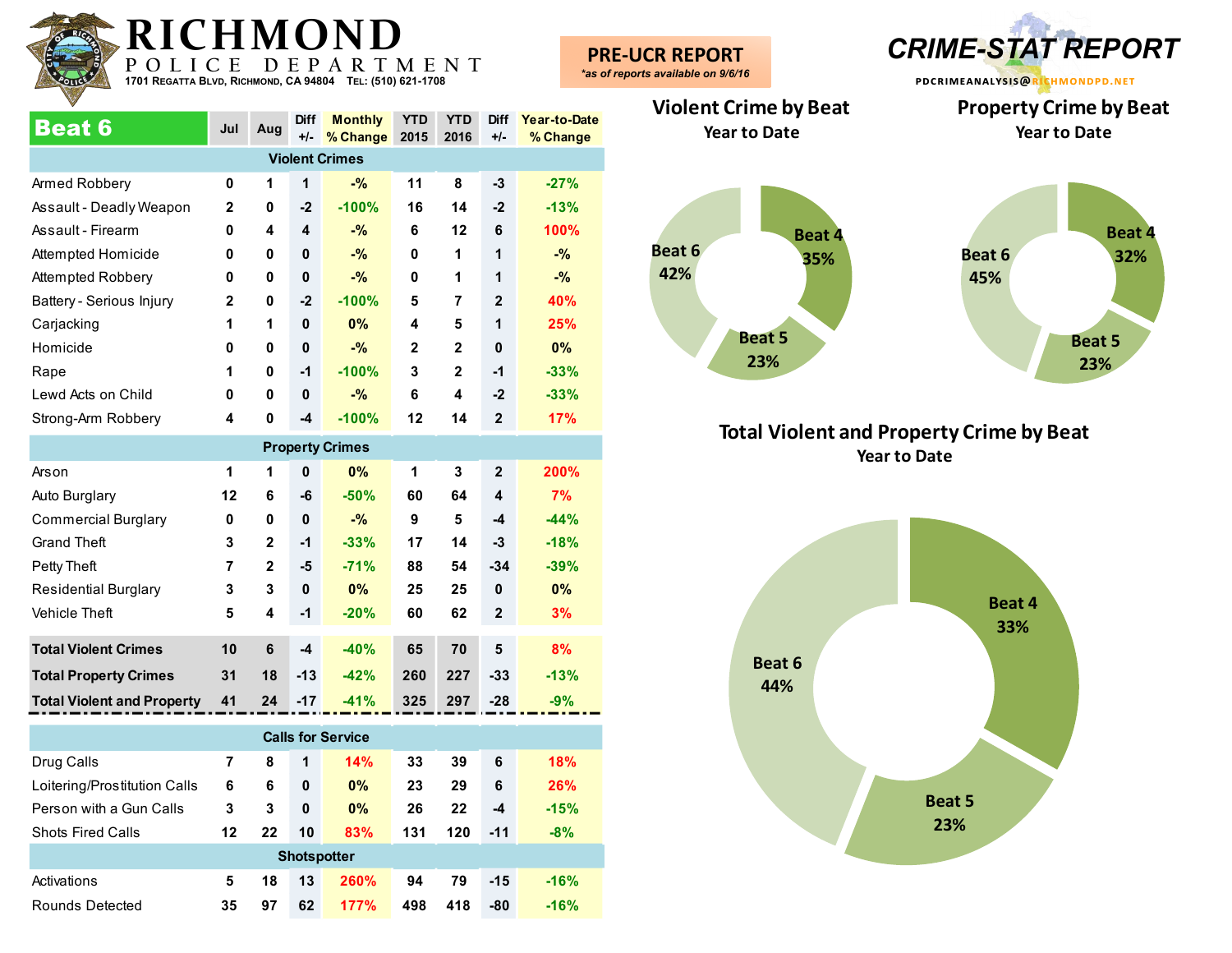

Beat 6 **Jul Aug Diff +/- % Change 2015 Monthly YTD YTD 2016 Diff +/- Year-to-Date % Change** Armed Robbery **0 1 1 -% 11 8 -3 -27%** Assault - Deadly Weapon **2 0 -2 -100% 16 14 -2 -13%** Assault - Firearm **0 4 4 -% 6 12 6 100%** Attempted Homicide **0 0 0 -% 0 1 1 -%** Attempted Robbery **0 0 0 -% 0 1 1 -%** Battery - Serious Injury **2 0 -2 -100% 5 7 2 40%** Carjacking **1 1 0 0% 4 5 1 25%** Homicide **0 0 0 -% 2 2 0 0%** Rape **1 0 -1 -100% 3 2 -1 -33%** Lewd Acts on Child **0 0 0 -% 6 4 -2 -33%** Strong-Arm Robbery **4 0 -4 -100% 12 14 2 17% Violent Crimes Property Crimes**

| <b>FIVACITA AITILES</b>           |    |              |             |        |     |     |                |        |  |  |  |
|-----------------------------------|----|--------------|-------------|--------|-----|-----|----------------|--------|--|--|--|
| Arson                             | 1  | 1            | $\mathbf 0$ | 0%     | 1   | 3   | $\mathbf{2}$   | 200%   |  |  |  |
| Auto Burglary                     | 12 | 6            | -6          | $-50%$ | 60  | 64  | 4              | 7%     |  |  |  |
| <b>Commercial Burglary</b>        | 0  | 0            | $\mathbf 0$ | $-$ %  | 9   | 5   | -4             | $-44%$ |  |  |  |
| <b>Grand Theft</b>                | 3  | $\mathbf{2}$ | $-1$        | $-33%$ | 17  | 14  | $-3$           | $-18%$ |  |  |  |
| Petty Theft                       | 7  | $\mathbf{2}$ | -5          | $-71%$ | 88  | 54  | $-34$          | $-39%$ |  |  |  |
| <b>Residential Burglary</b>       | 3  | 3            | $\mathbf 0$ | $0\%$  | 25  | 25  | $\mathbf 0$    | $0\%$  |  |  |  |
| Vehicle Theft                     | 5  | 4            | $-1$        | $-20%$ | 60  | 62  | $\overline{2}$ | 3%     |  |  |  |
|                                   |    |              |             |        |     |     |                |        |  |  |  |
| <b>Total Violent Crimes</b>       | 10 | 6            | $-4$        | $-40%$ | 65  | 70  | 5              | 8%     |  |  |  |
| <b>Total Property Crimes</b>      | 31 | 18           | $-13$       | $-42%$ | 260 | 227 | $-33$          | $-13%$ |  |  |  |
| <b>Total Violent and Property</b> | 41 | 24           | $-17$       | $-41%$ | 325 | 297 | $-28$          | $-9%$  |  |  |  |
|                                   |    |              |             |        |     |     |                |        |  |  |  |

| <b>Calls for Service</b>     |    |    |    |                    |     |     |       |        |  |  |  |  |
|------------------------------|----|----|----|--------------------|-----|-----|-------|--------|--|--|--|--|
| Drug Calls                   | 7  | 8  | 1  | 14%                | 33  | 39  | 6     | 18%    |  |  |  |  |
| Loitering/Prostitution Calls | 6  | 6  | 0  | 0%                 | 23  | 29  | 6     | 26%    |  |  |  |  |
| Person with a Gun Calls      | 3  | 3  | 0  | 0%                 | 26  | 22  | -4    | $-15%$ |  |  |  |  |
| <b>Shots Fired Calls</b>     | 12 | 22 | 10 | 83%                | 131 | 120 | $-11$ | $-8%$  |  |  |  |  |
|                              |    |    |    | <b>Shotspotter</b> |     |     |       |        |  |  |  |  |
| Activations                  | 5  | 18 | 13 | <b>260%</b>        | 94  | 79  | $-15$ | $-16%$ |  |  |  |  |
| Rounds Detected              | 35 | 97 | 62 | 177%               | 498 | 418 | -80   | $-16%$ |  |  |  |  |

**PRE-UCR REPORT** *\*as of reports available on 9/6/16*

**pdcrimeanalysis@richmondpd.net Property Crime by Beat**

**Year to Date**

**-UCR REPORT** *CRIME-STAT REPORT*

## **Violent Crime by Beat Year to Date**



### **Total Violent and Property Crime by Beat Year to Date**

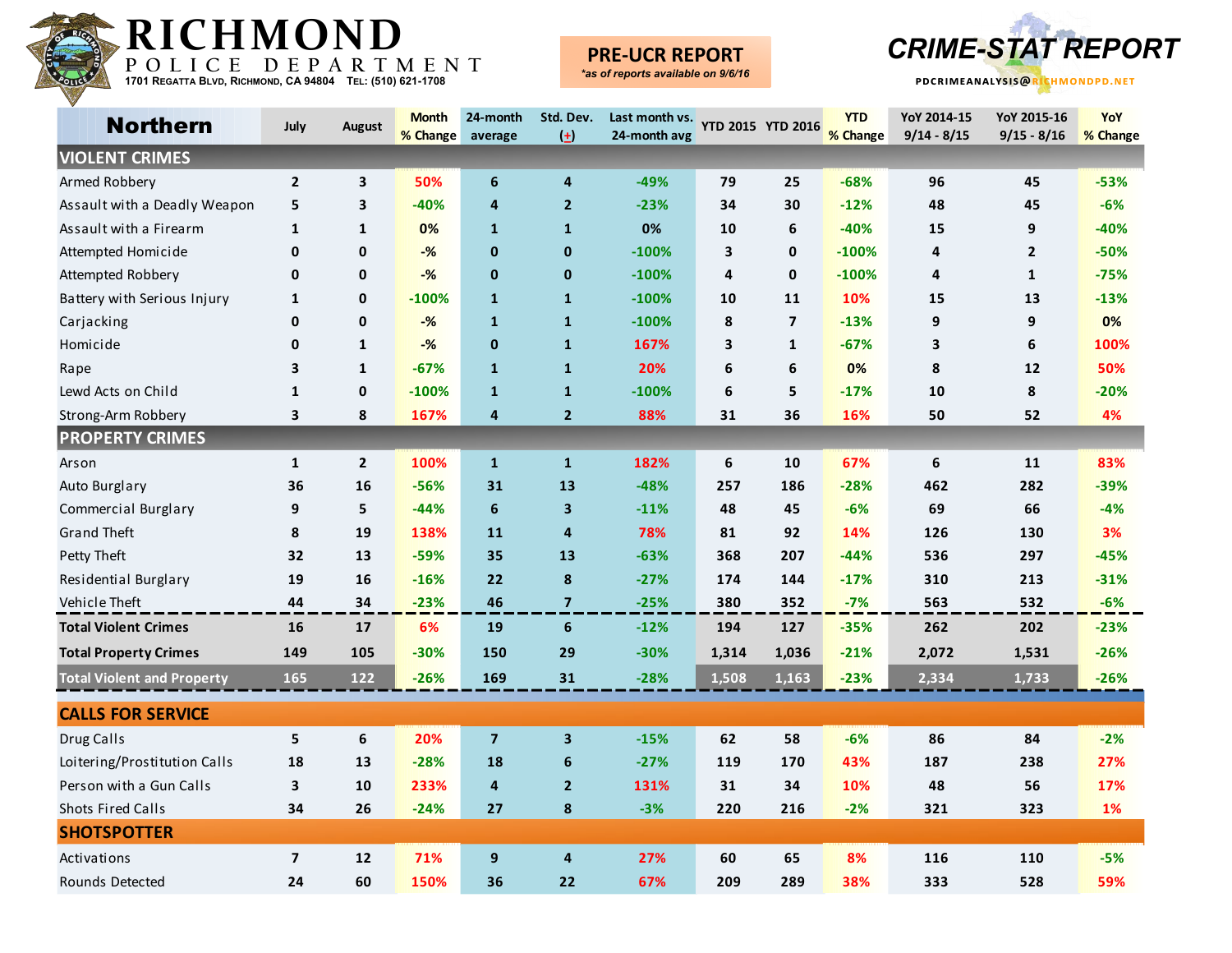

#### **PRE-UCR REPORT** *\*as of reports available on 9/6/16*



| <b>Northern</b>                   | July                    | <b>August</b> | <b>Month</b> | 24-month                | Std. Dev.               | Last month vs. YTD 2015 YTD 2016 |       |                         | <b>YTD</b> | YoY 2014-15   | YoY 2015-16   | <b>YoY</b> |
|-----------------------------------|-------------------------|---------------|--------------|-------------------------|-------------------------|----------------------------------|-------|-------------------------|------------|---------------|---------------|------------|
|                                   |                         |               | % Change     | average                 | $\left( \pm \right)$    | 24-month avg                     |       |                         | % Change   | $9/14 - 8/15$ | $9/15 - 8/16$ | % Change   |
| <b>VIOLENT CRIMES</b>             |                         |               |              |                         |                         |                                  |       |                         |            |               |               |            |
| Armed Robbery                     | $\mathbf{2}$            | 3             | 50%          | 6                       | 4                       | $-49%$                           | 79    | 25                      | $-68%$     | 96            | 45            | $-53%$     |
| Assault with a Deadly Weapon      | 5                       | 3             | $-40%$       | 4                       | $\mathbf{2}$            | $-23%$                           | 34    | 30                      | $-12%$     | 48            | 45            | $-6%$      |
| Assault with a Firearm            | $\mathbf{1}$            | $\mathbf{1}$  | 0%           | $\mathbf{1}$            | $\mathbf{1}$            | 0%                               | 10    | 6                       | $-40%$     | 15            | 9             | $-40%$     |
| Attempted Homicide                | 0                       | 0             | $-%$         | $\mathbf{0}$            | $\mathbf{0}$            | $-100%$                          | 3     | $\mathbf{0}$            | $-100%$    | 4             | $\mathbf{2}$  | $-50%$     |
| <b>Attempted Robbery</b>          | 0                       | 0             | $-%$         | $\mathbf 0$             | $\mathbf 0$             | $-100%$                          | 4     | 0                       | $-100%$    | 4             | $\mathbf{1}$  | $-75%$     |
| Battery with Serious Injury       | $\mathbf{1}$            | 0             | $-100%$      | $\mathbf{1}$            | $\mathbf{1}$            | $-100%$                          | 10    | 11                      | 10%        | 15            | 13            | $-13%$     |
| Carjacking                        | 0                       | 0             | $-%$         | $\mathbf{1}$            | $\mathbf{1}$            | $-100%$                          | 8     | $\overline{\mathbf{z}}$ | $-13%$     | 9             | 9             | 0%         |
| Homicide                          | 0                       | $\mathbf{1}$  | $-%$         | $\mathbf 0$             | $\mathbf{1}$            | 167%                             | 3     | $\mathbf{1}$            | $-67%$     | 3             | 6             | 100%       |
| Rape                              | 3                       | $\mathbf{1}$  | $-67%$       | $\mathbf{1}$            | $\mathbf{1}$            | 20%                              | 6     | 6                       | 0%         | 8             | 12            | 50%        |
| Lewd Acts on Child                | $\mathbf{1}$            | $\mathbf{0}$  | $-100%$      | $\mathbf{1}$            | $\mathbf{1}$            | $-100%$                          | 6     | 5                       | $-17%$     | 10            | 8             | $-20%$     |
| Strong-Arm Robbery                | 3                       | 8             | 167%         | 4                       | $\mathbf{2}$            | 88%                              | 31    | 36                      | 16%        | 50            | 52            | 4%         |
| <b>PROPERTY CRIMES</b>            |                         |               |              |                         |                         |                                  |       |                         |            |               |               |            |
| Arson                             | $\mathbf{1}$            | $\mathbf{2}$  | 100%         | $\mathbf{1}$            | $\mathbf{1}$            | 182%                             | 6     | 10                      | 67%        | 6             | $11$          | 83%        |
| Auto Burglary                     | 36                      | 16            | $-56%$       | 31                      | 13                      | $-48%$                           | 257   | 186                     | $-28%$     | 462           | 282           | $-39%$     |
| Commercial Burglary               | 9                       | 5             | $-44%$       | $\bf 6$                 | $\overline{\mathbf{3}}$ | $-11%$                           | 48    | 45                      | $-6%$      | 69            | 66            | $-4%$      |
| <b>Grand Theft</b>                | 8                       | 19            | 138%         | 11                      | 4                       | 78%                              | 81    | 92                      | 14%        | 126           | 130           | 3%         |
| Petty Theft                       | 32                      | 13            | $-59%$       | 35                      | 13                      | $-63%$                           | 368   | 207                     | $-44%$     | 536           | 297           | $-45%$     |
| Residential Burglary              | 19                      | 16            | $-16%$       | 22                      | 8                       | $-27%$                           | 174   | 144                     | $-17%$     | 310           | 213           | $-31%$     |
| Vehicle Theft                     | 44                      | 34            | $-23%$       | 46                      | $\overline{7}$          | $-25%$                           | 380   | 352                     | $-7%$      | 563           | 532           | $-6%$      |
| <b>Total Violent Crimes</b>       | 16                      | 17            | 6%           | 19                      | 6                       | $-12%$                           | 194   | 127                     | $-35%$     | 262           | 202           | $-23%$     |
| <b>Total Property Crimes</b>      | 149                     | 105           | $-30%$       | 150                     | 29                      | $-30%$                           | 1,314 | 1,036                   | $-21%$     | 2,072         | 1,531         | $-26%$     |
| <b>Total Violent and Property</b> | 165                     | 122           | $-26%$       | 169                     | 31                      | $-28%$                           | 1,508 | 1,163                   | $-23%$     | 2,334         | 1,733         | $-26%$     |
| <b>CALLS FOR SERVICE</b>          |                         |               |              |                         |                         |                                  |       |                         |            |               |               |            |
| Drug Calls                        | 5                       | 6             | 20%          | $\overline{\mathbf{z}}$ | 3                       | $-15%$                           | 62    | 58                      | $-6%$      | 86            | 84            | $-2%$      |
| Loitering/Prostitution Calls      | 18                      | 13            | $-28%$       | 18                      | 6                       | $-27%$                           | 119   | 170                     | 43%        | 187           | 238           | 27%        |
| Person with a Gun Calls           | 3                       | 10            | 233%         | 4                       | $\mathbf{2}$            | 131%                             | 31    | 34                      | 10%        | 48            | 56            | 17%        |
| <b>Shots Fired Calls</b>          | 34                      | 26            | $-24%$       | 27                      | 8                       | $-3%$                            | 220   | 216                     | $-2%$      | 321           | 323           | 1%         |
| <b>SHOTSPOTTER</b>                |                         |               |              |                         |                         |                                  |       |                         |            |               |               |            |
| Activations                       | $\overline{\mathbf{z}}$ | 12            | 71%          | 9                       | 4                       | 27%                              | 60    | 65                      | 8%         | 116           | 110           | -5%        |
| <b>Rounds Detected</b>            | 24                      | 60            | 150%         | 36                      | 22                      | 67%                              | 209   | 289                     | 38%        | 333           | 528           | 59%        |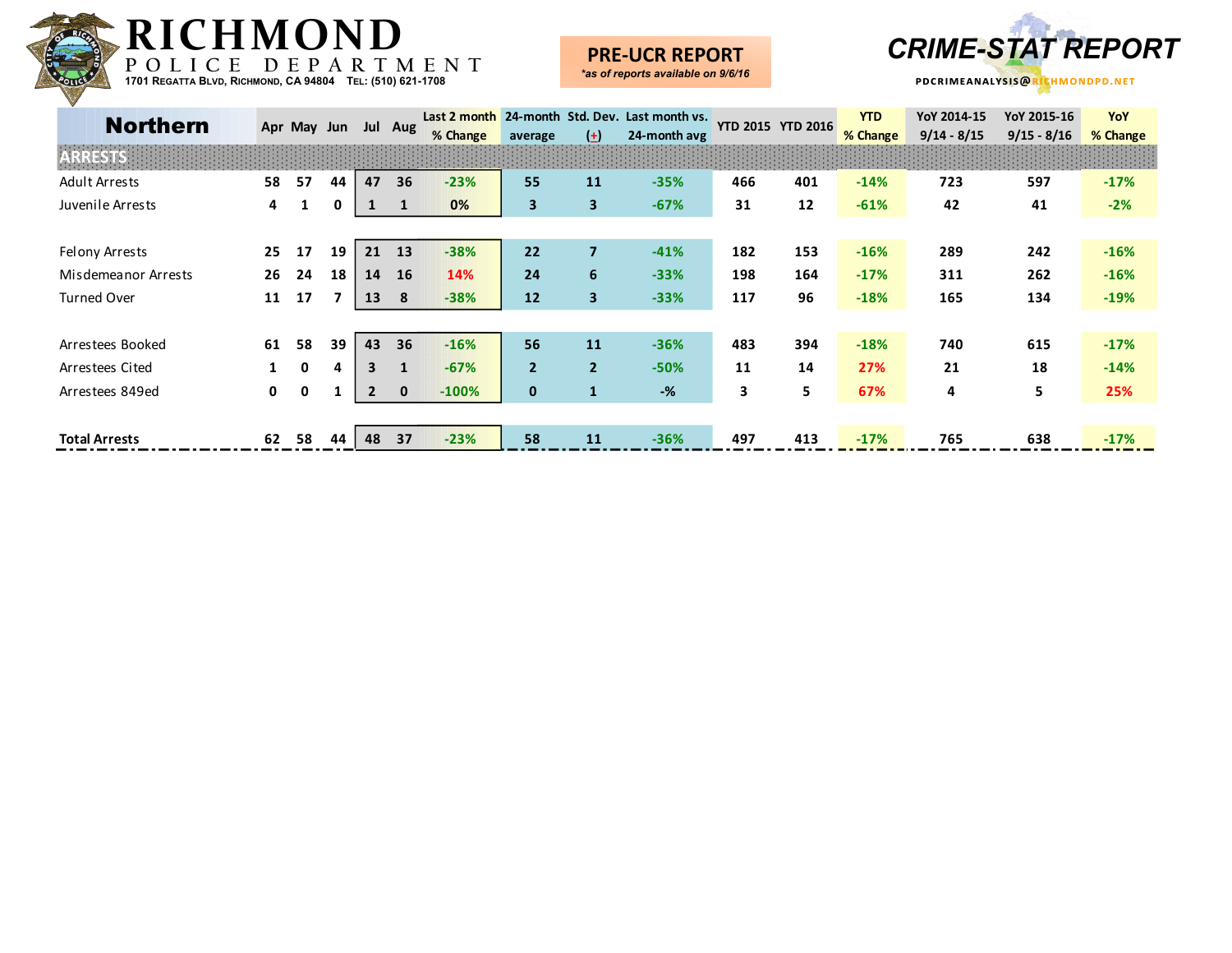

## **PRE-UCR REPORT**



| <b>Northern</b>      |    | Apr May Jun |    |                | Jul Aug      | % Change | average        | $\left( \pm \right)$ | Last 2 month 24-month Std. Dev. Last month vs.<br>24-month avg |     | <b>YTD 2015 YTD 2016</b> | <b>YTD</b><br>% Change | YoY 2014-15<br>$9/14 - 8/15$ | YoY 2015-16<br>$9/15 - 8/16$ | YoY<br>% Change |
|----------------------|----|-------------|----|----------------|--------------|----------|----------------|----------------------|----------------------------------------------------------------|-----|--------------------------|------------------------|------------------------------|------------------------------|-----------------|
|                      |    |             |    |                |              |          |                |                      |                                                                |     |                          |                        |                              |                              |                 |
| <b>Adult Arrests</b> | 58 | 57          | 44 | 47             | 36           | $-23%$   | 55             | 11                   | $-35%$                                                         | 466 | 401                      | $-14%$                 | 723                          | 597                          | $-17%$          |
| Juvenile Arrests     | 4  |             | 0  |                |              | 0%       | $\mathbf{3}$   | 3                    | $-67%$                                                         | 31  | 12                       | $-61%$                 | 42                           | 41                           | $-2%$           |
|                      |    |             |    |                |              |          |                |                      |                                                                |     |                          |                        |                              |                              |                 |
| Felony Arrests       | 25 | 17          | 19 | 21             | 13           | $-38%$   | 22             | $\overline{7}$       | $-41%$                                                         | 182 | 153                      | $-16%$                 | 289                          | 242                          | $-16%$          |
| Misdemeanor Arrests  | 26 | 24          | 18 | 14             | <b>16</b>    | 14%      | 24             | 6                    | $-33%$                                                         | 198 | 164                      | $-17%$                 | 311                          | 262                          | $-16%$          |
| <b>Turned Over</b>   | 11 | 17          |    | 13             | 8            | $-38%$   | 12             | 3                    | $-33%$                                                         | 117 | 96                       | $-18%$                 | 165                          | 134                          | $-19%$          |
|                      |    |             |    |                |              |          |                |                      |                                                                |     |                          |                        |                              |                              |                 |
| Arrestees Booked     | 61 | 58          | 39 | 43             | 36           | $-16%$   | 56             | 11                   | $-36%$                                                         | 483 | 394                      | $-18%$                 | 740                          | 615                          | $-17%$          |
| Arrestees Cited      |    | 0           | 4  | 3              |              | $-67%$   | $\overline{2}$ | $\overline{2}$       | $-50%$                                                         | 11  | 14                       | 27%                    | 21                           | 18                           | $-14%$          |
| Arrestees 849ed      | 0  | 0           |    | $\overline{2}$ | $\mathbf{0}$ | $-100%$  | $\mathbf{0}$   | 1                    | $-%$                                                           | 3   | 5                        | 67%                    | 4                            | 5                            | 25%             |
|                      |    |             |    |                |              |          |                |                      |                                                                |     |                          |                        |                              |                              |                 |
| <b>Total Arrests</b> | 62 | 58          | 44 | 48             | 37           | $-23%$   | 58             | 11                   | $-36%$                                                         | 497 | 413                      | $-17%$                 | 765                          | 638                          | $-17%$          |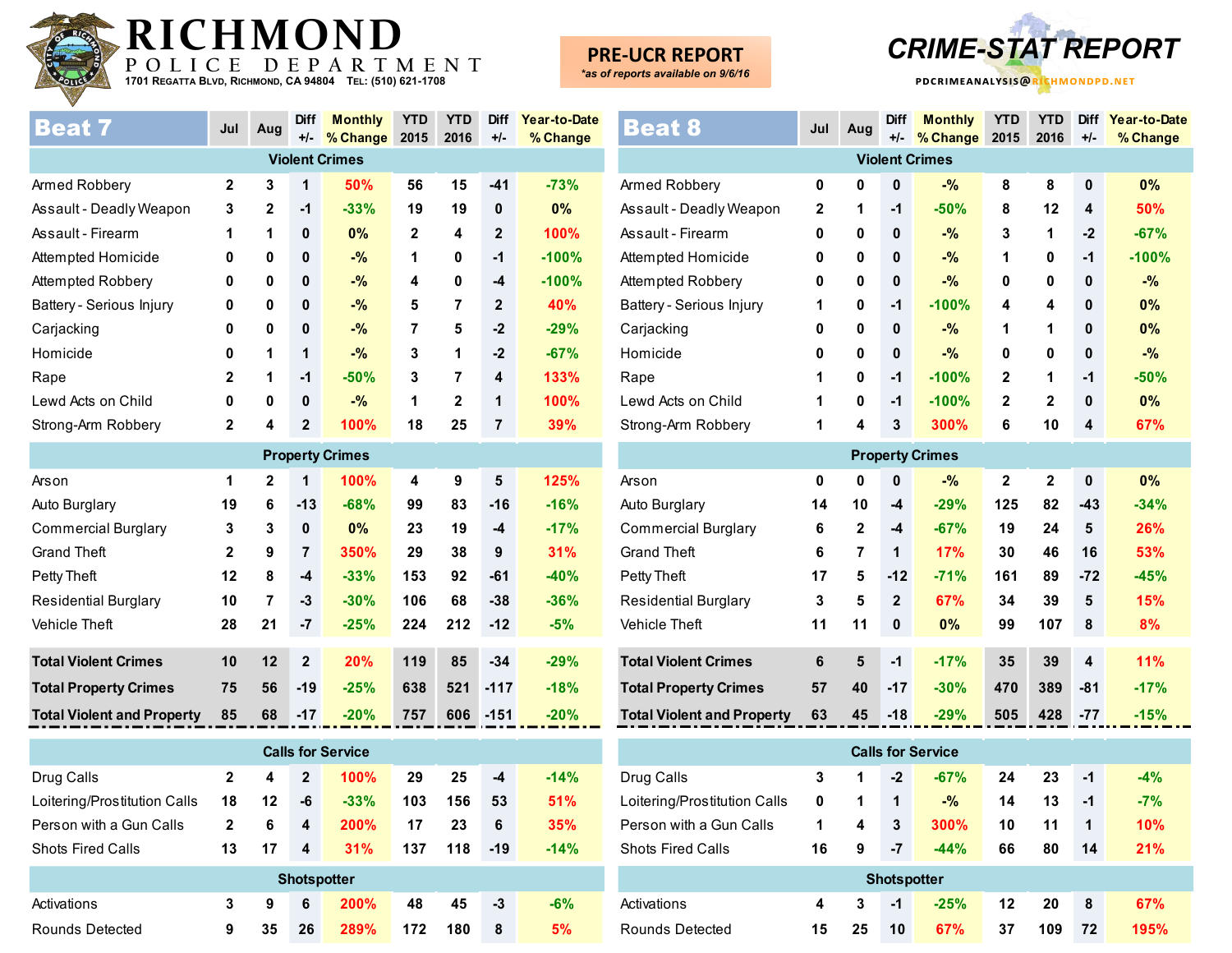

**PRE-UCR REPORT** *\*as of reports available on 9/6/16*



| <b>Beat 7</b>            | Jul          | Aug          | <b>Diff</b>  | <b>Monthly</b>        | <b>YTD</b>   | <b>YTD</b> | <b>Diff</b>    | Year-to-Date |
|--------------------------|--------------|--------------|--------------|-----------------------|--------------|------------|----------------|--------------|
|                          |              |              | $+/-$        | % Change              | 2015         | 2016       | $+/-$          | % Change     |
|                          |              |              |              | <b>Violent Crimes</b> |              |            |                |              |
| Armed Robbery            | $\mathbf{2}$ | 3            | 1            | 50%                   | 56           | 15         | $-41$          | $-73%$       |
| Assault - Deadly Weapon  | 3            | $\mathbf{2}$ | $-1$         | $-33%$                | 19           | 19         | 0              | 0%           |
| Assault - Firearm        | 1            | 1            | 0            | $0\%$                 | $\mathbf{2}$ | 4          | $\mathbf{2}$   | 100%         |
| Attempted Homicide       | 0            | 0            | 0            | $-$ %                 | 1            | 0          | $-1$           | $-100%$      |
| Attempted Robbery        | 0            | 0            | 0            | $-$ %                 | 4            | 0          | $-4$           | $-100%$      |
| Battery - Serious Injury | 0            | 0            | 0            | $-$ %                 | 5            | 7          | $\mathbf{2}$   | <b>40%</b>   |
| Carjacking               | 0            | 0            | 0            | $-$ %                 | 7            | 5          | $-2$           | $-29%$       |
| Homicide                 | 0            | 1            | 1            | $-$ %                 | 3            | 1          | $-2$           | $-67%$       |
| Rape                     | 2            | 1            | -1           | $-50%$                | 3            | 7          | 4              | 133%         |
| Lewd Acts on Child       | 0            | 0            | 0            | $-$ %                 | 1            | 2          | 1              | 100%         |
| Strong-Arm Robbery       | 2            | 4            | $\mathbf{2}$ | 100%                  | 18           | 25         | $\overline{7}$ | 39%          |
|                          |              |              |              |                       |              |            |                |              |

| <b>Property Crimes</b>            |              |              |                |        |     |     |        |        |  |  |  |  |
|-----------------------------------|--------------|--------------|----------------|--------|-----|-----|--------|--------|--|--|--|--|
| Arson                             | 1            | $\mathbf{2}$ | 1              | 100%   | 4   | 9   | 5      | 125%   |  |  |  |  |
| Auto Burglary                     | 19           | 6            | $-13$          | $-68%$ | 99  | 83  | $-16$  | $-16%$ |  |  |  |  |
| <b>Commercial Burglary</b>        | 3            | 3            | $\mathbf 0$    | $0\%$  | 23  | 19  | $-4$   | $-17%$ |  |  |  |  |
| <b>Grand Theft</b>                | $\mathbf{2}$ | 9            | $\overline{7}$ | 350%   | 29  | 38  | 9      | 31%    |  |  |  |  |
| Petty Theft                       | 12           | 8            | $-4$           | $-33%$ | 153 | 92  | -61    | $-40%$ |  |  |  |  |
| <b>Residential Burglary</b>       | 10           | 7            | -3             | $-30%$ | 106 | 68  | $-38$  | $-36%$ |  |  |  |  |
| <b>Vehicle Theft</b>              | 28           | 21           | -7             | $-25%$ | 224 | 212 | $-12$  | $-5%$  |  |  |  |  |
|                                   |              |              |                |        |     |     |        |        |  |  |  |  |
| <b>Total Violent Crimes</b>       | 10           | 12           | $\mathbf{2}$   | 20%    | 119 | 85  | $-34$  | $-29%$ |  |  |  |  |
| <b>Total Property Crimes</b>      | 75           | 56           | $-19$          | $-25%$ | 638 | 521 | $-117$ | $-18%$ |  |  |  |  |
| <b>Total Violent and Property</b> | 85           | 68           | $-17$          | $-20%$ | 757 | 606 | $-151$ | $-20%$ |  |  |  |  |

| <b>Calls for Service</b>     |              |         |              |                    |     |     |       |        |  |  |  |  |
|------------------------------|--------------|---------|--------------|--------------------|-----|-----|-------|--------|--|--|--|--|
| Drug Calls                   | $\mathbf{2}$ | 4       | $\mathbf{2}$ | 100%               | 29  | 25  | -4    | $-14%$ |  |  |  |  |
| Loitering/Prostitution Calls | 18           | $12 \,$ | -6           | $-33%$             | 103 | 156 | 53    | 51%    |  |  |  |  |
| Person with a Gun Calls      | $\mathbf{2}$ | 6       | 4            | 200%               | 17  | 23  | 6     | 35%    |  |  |  |  |
| <b>Shots Fired Calls</b>     | 13           | 17      | 4            | 31%                | 137 | 118 | $-19$ | $-14%$ |  |  |  |  |
|                              |              |         |              | <b>Shotspotter</b> |     |     |       |        |  |  |  |  |
| Activations                  | 3            | 9       | 6            | <b>200%</b>        | 48  | 45  | -3    | $-6%$  |  |  |  |  |
| Rounds Detected              | 9            | 35      | 26           | <b>289%</b>        | 172 | 180 | 8     | 5%     |  |  |  |  |

| Beat 8                            | Jul          | Aug            | <b>Diff</b><br>$+/-$ | <b>Monthly</b><br>% Change | <b>YTD</b><br>2015 | <b>YTD</b><br>2016 | <b>Diff</b><br>$+/-$    | Year-to-Date<br>% Change |
|-----------------------------------|--------------|----------------|----------------------|----------------------------|--------------------|--------------------|-------------------------|--------------------------|
|                                   |              |                |                      | <b>Violent Crimes</b>      |                    |                    |                         |                          |
| Armed Robbery                     | 0            | 0              | $\bf{0}$             | $-$ %                      | 8                  | 8                  | $\mathbf 0$             | 0%                       |
| Assault - Deadly Weapon           | $\mathbf{2}$ | 1              | $-1$                 | $-50%$                     | 8                  | 12                 | 4                       | 50%                      |
| Assault - Firearm                 | 0            | 0              | 0                    | $-$ %                      | 3                  | 1                  | $-2$                    | $-67%$                   |
| Attempted Homicide                | 0            | 0              | 0                    | $-$ %                      | 1                  | 0                  | $-1$                    | $-100%$                  |
| Attempted Robbery                 | 0            | 0              | 0                    | $-$ %                      | 0                  | 0                  | 0                       | $-$ %                    |
| Battery - Serious Injury          | 1            | 0              | -1                   | $-100%$                    | 4                  | 4                  | $\bf{0}$                | 0%                       |
| Carjacking                        | 0            | 0              | 0                    | $-$ %                      | 1                  | 1                  | $\mathbf{0}$            | 0%                       |
| Homicide                          | 0            | 0              | 0                    | $-$ %                      | 0                  | 0                  | $\mathbf{0}$            | $-$ %                    |
| Rape                              | 1            | 0              | $-1$                 | $-100%$                    | $\mathbf 2$        | 1                  | $-1$                    | $-50%$                   |
| Lewd Acts on Child                | 1            | 0              | $-1$                 | $-100%$                    | $\mathbf{2}$       | $\mathbf 2$        | $\mathbf{0}$            | 0%                       |
| Strong-Arm Robbery                | 1            | 4              | 3                    | 300%                       | 6                  | 10                 | $\overline{\mathbf{4}}$ | 67%                      |
|                                   |              |                |                      | <b>Property Crimes</b>     |                    |                    |                         |                          |
| Arson                             | 0            | 0              | 0                    | $-$ %                      | $\boldsymbol{2}$   | $\mathbf{2}$       | $\mathbf 0$             | $0\%$                    |
| Auto Burglary                     | 14           | 10             | $-4$                 | $-29%$                     | 125                | 82                 | $-43$                   | $-34%$                   |
| <b>Commercial Burglary</b>        | 6            | $\overline{2}$ | $-4$                 | $-67%$                     | 19                 | 24                 | 5                       | 26%                      |
| <b>Grand Theft</b>                | 6            | $\overline{7}$ | 1                    | 17%                        | 30                 | 46                 | 16                      | 53%                      |
| Petty Theft                       | 17           | 5              | $-12$                | $-71%$                     | 161                | 89                 | $-72$                   | $-45%$                   |
| <b>Residential Burglary</b>       | 3            | 5              | $\overline{2}$       | 67%                        | 34                 | 39                 | 5                       | 15%                      |
| Vehicle Theft                     | 11           | 11             | $\pmb{0}$            | 0%                         | 99                 | 107                | 8                       | 8%                       |
| <b>Total Violent Crimes</b>       | 6            | 5              | $-1$                 | $-17%$                     | 35                 | 39                 | $\overline{\mathbf{4}}$ | 11%                      |
| <b>Total Property Crimes</b>      | 57           | 40             | $-17$                | $-30%$                     | 470                | 389                | $-81$                   | $-17%$                   |
| <b>Total Violent and Property</b> | 63           | 45             | $-18$                | $-29%$                     | 505                | 428                | $-77$                   | $-15%$                   |

| <b>Calls for Service</b>     |    |    |                    |        |    |     |    |            |  |  |  |  |
|------------------------------|----|----|--------------------|--------|----|-----|----|------------|--|--|--|--|
| Drug Calls                   | 3  | 1  | $-2$               | $-67%$ | 24 | 23  | -1 | $-4%$      |  |  |  |  |
| Loitering/Prostitution Calls | 0  | 1  | 1                  | $-$ %  | 14 | 13  | -1 | $-7%$      |  |  |  |  |
| Person with a Gun Calls      | 1  | 4  | 3                  | 300%   | 10 | 11  | 1  | 10%        |  |  |  |  |
| <b>Shots Fired Calls</b>     | 16 | 9  | $-7$               | $-44%$ | 66 | 80  | 14 | 21%        |  |  |  |  |
|                              |    |    | <b>Shotspotter</b> |        |    |     |    |            |  |  |  |  |
| Activations                  | 4  | 3  | -1                 | $-25%$ | 12 | 20  | 8  | <b>67%</b> |  |  |  |  |
| Rounds Detected              | 15 | 25 | 10                 | 67%    | 37 | 109 | 72 | 195%       |  |  |  |  |